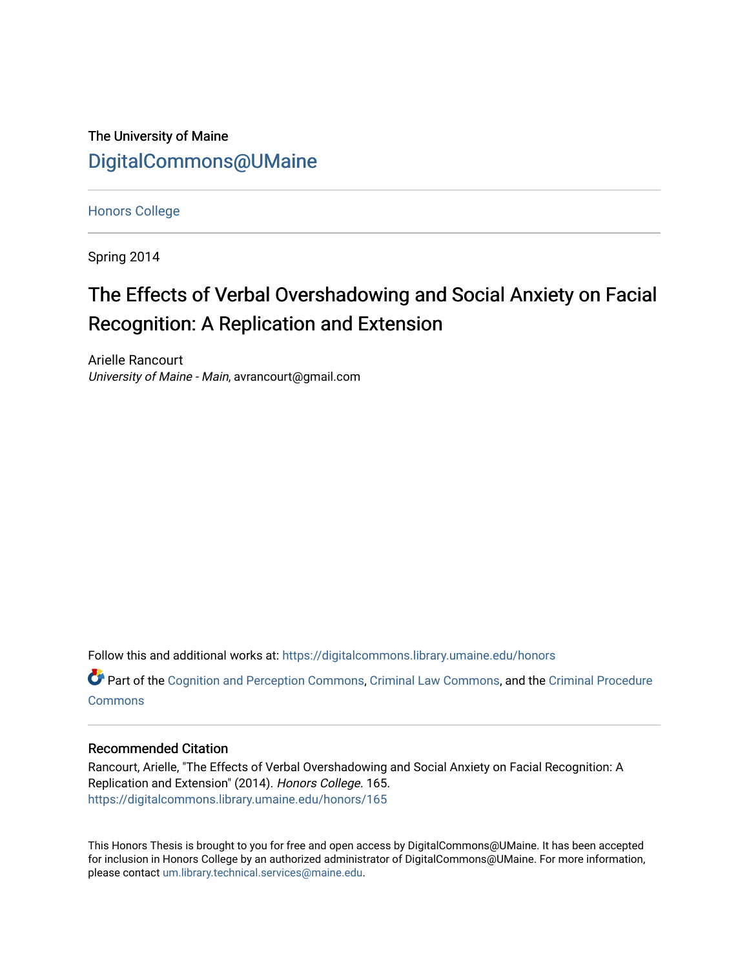The University of Maine [DigitalCommons@UMaine](https://digitalcommons.library.umaine.edu/)

[Honors College](https://digitalcommons.library.umaine.edu/honors)

Spring 2014

# The Effects of Verbal Overshadowing and Social Anxiety on Facial Recognition: A Replication and Extension

Arielle Rancourt University of Maine - Main, avrancourt@gmail.com

Follow this and additional works at: [https://digitalcommons.library.umaine.edu/honors](https://digitalcommons.library.umaine.edu/honors?utm_source=digitalcommons.library.umaine.edu%2Fhonors%2F165&utm_medium=PDF&utm_campaign=PDFCoverPages) 

Part of the [Cognition and Perception Commons,](http://network.bepress.com/hgg/discipline/407?utm_source=digitalcommons.library.umaine.edu%2Fhonors%2F165&utm_medium=PDF&utm_campaign=PDFCoverPages) [Criminal Law Commons,](http://network.bepress.com/hgg/discipline/912?utm_source=digitalcommons.library.umaine.edu%2Fhonors%2F165&utm_medium=PDF&utm_campaign=PDFCoverPages) and the [Criminal Procedure](http://network.bepress.com/hgg/discipline/1073?utm_source=digitalcommons.library.umaine.edu%2Fhonors%2F165&utm_medium=PDF&utm_campaign=PDFCoverPages)  **[Commons](http://network.bepress.com/hgg/discipline/1073?utm_source=digitalcommons.library.umaine.edu%2Fhonors%2F165&utm_medium=PDF&utm_campaign=PDFCoverPages)** 

#### Recommended Citation

Rancourt, Arielle, "The Effects of Verbal Overshadowing and Social Anxiety on Facial Recognition: A Replication and Extension" (2014). Honors College. 165. [https://digitalcommons.library.umaine.edu/honors/165](https://digitalcommons.library.umaine.edu/honors/165?utm_source=digitalcommons.library.umaine.edu%2Fhonors%2F165&utm_medium=PDF&utm_campaign=PDFCoverPages) 

This Honors Thesis is brought to you for free and open access by DigitalCommons@UMaine. It has been accepted for inclusion in Honors College by an authorized administrator of DigitalCommons@UMaine. For more information, please contact [um.library.technical.services@maine.edu.](mailto:um.library.technical.services@maine.edu)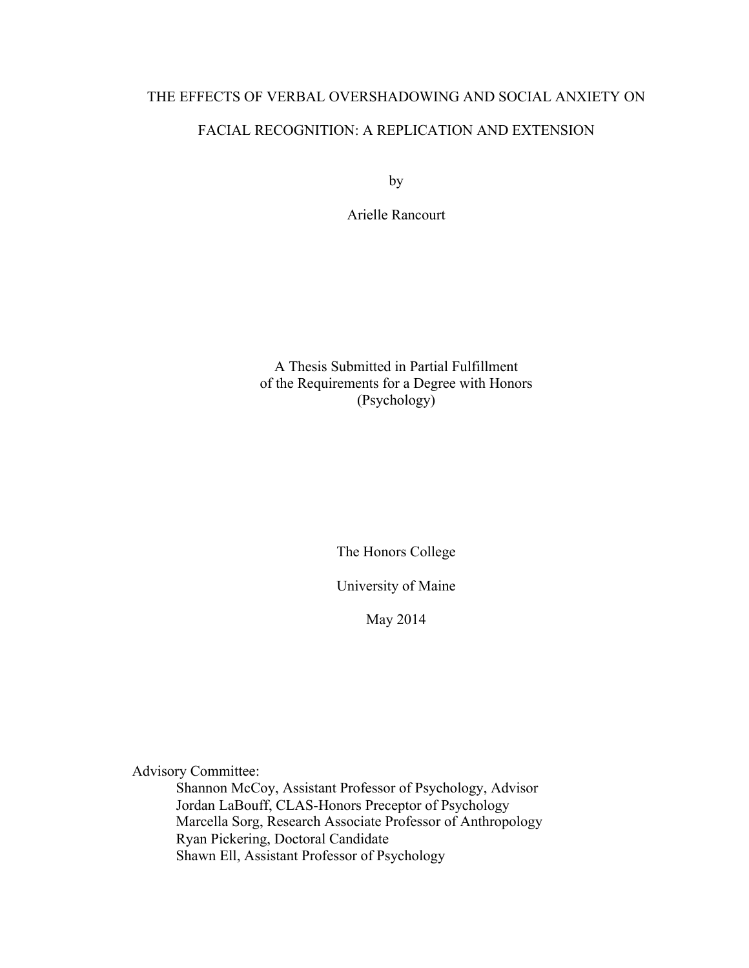# THE EFFECTS OF VERBAL OVERSHADOWING AND SOCIAL ANXIETY ON FACIAL RECOGNITION: A REPLICATION AND EXTENSION

by

Arielle Rancourt

A Thesis Submitted in Partial Fulfillment of the Requirements for a Degree with Honors (Psychology)

The Honors College

University of Maine

May 2014

Advisory Committee:

Shannon McCoy, Assistant Professor of Psychology, Advisor Jordan LaBouff, CLAS-Honors Preceptor of Psychology Marcella Sorg, Research Associate Professor of Anthropology Ryan Pickering, Doctoral Candidate Shawn Ell, Assistant Professor of Psychology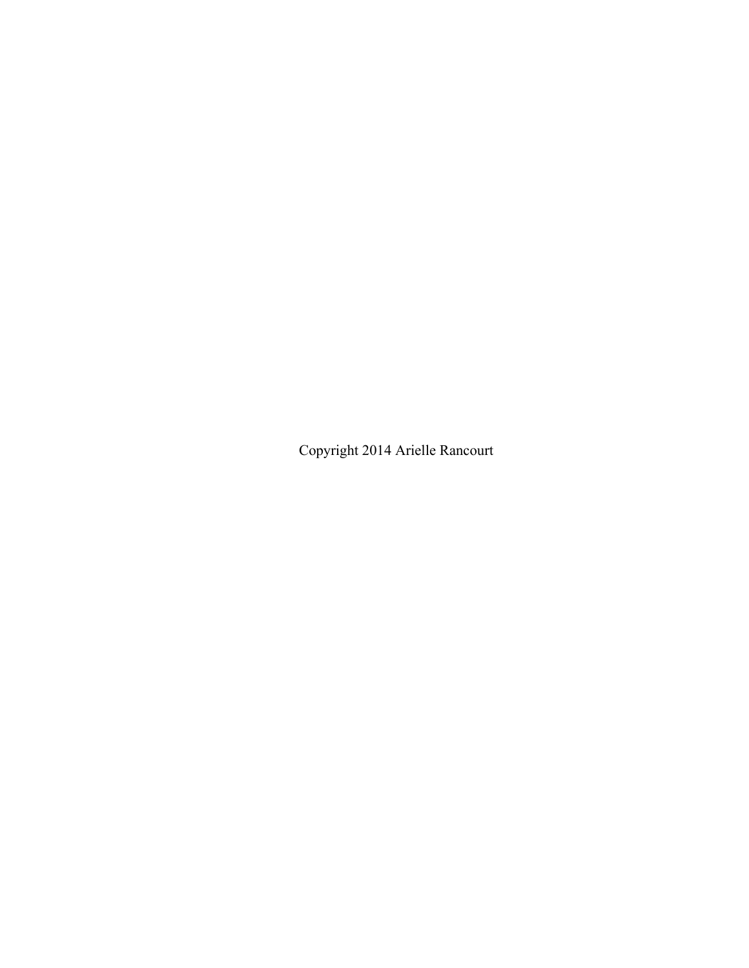Copyright 2014 Arielle Rancourt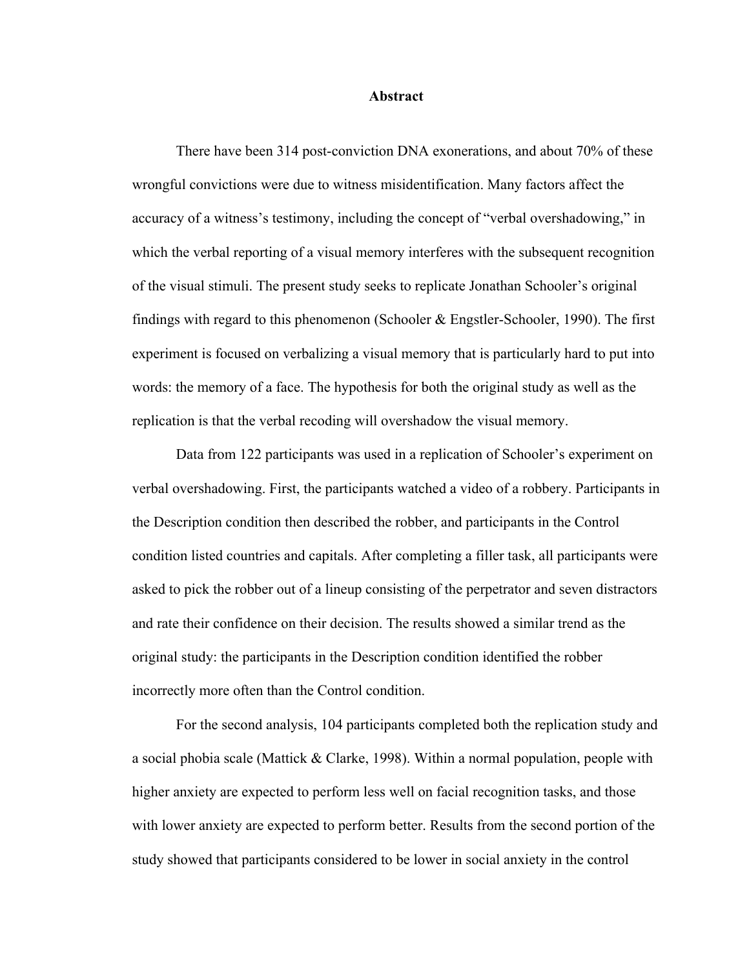#### **Abstract**

There have been 314 post-conviction DNA exonerations, and about 70% of these wrongful convictions were due to witness misidentification. Many factors affect the accuracy of a witness's testimony, including the concept of "verbal overshadowing," in which the verbal reporting of a visual memory interferes with the subsequent recognition of the visual stimuli. The present study seeks to replicate Jonathan Schooler's original findings with regard to this phenomenon (Schooler & Engstler-Schooler, 1990). The first experiment is focused on verbalizing a visual memory that is particularly hard to put into words: the memory of a face. The hypothesis for both the original study as well as the replication is that the verbal recoding will overshadow the visual memory.

Data from 122 participants was used in a replication of Schooler's experiment on verbal overshadowing. First, the participants watched a video of a robbery. Participants in the Description condition then described the robber, and participants in the Control condition listed countries and capitals. After completing a filler task, all participants were asked to pick the robber out of a lineup consisting of the perpetrator and seven distractors and rate their confidence on their decision. The results showed a similar trend as the original study: the participants in the Description condition identified the robber incorrectly more often than the Control condition.

For the second analysis, 104 participants completed both the replication study and a social phobia scale (Mattick & Clarke, 1998). Within a normal population, people with higher anxiety are expected to perform less well on facial recognition tasks, and those with lower anxiety are expected to perform better. Results from the second portion of the study showed that participants considered to be lower in social anxiety in the control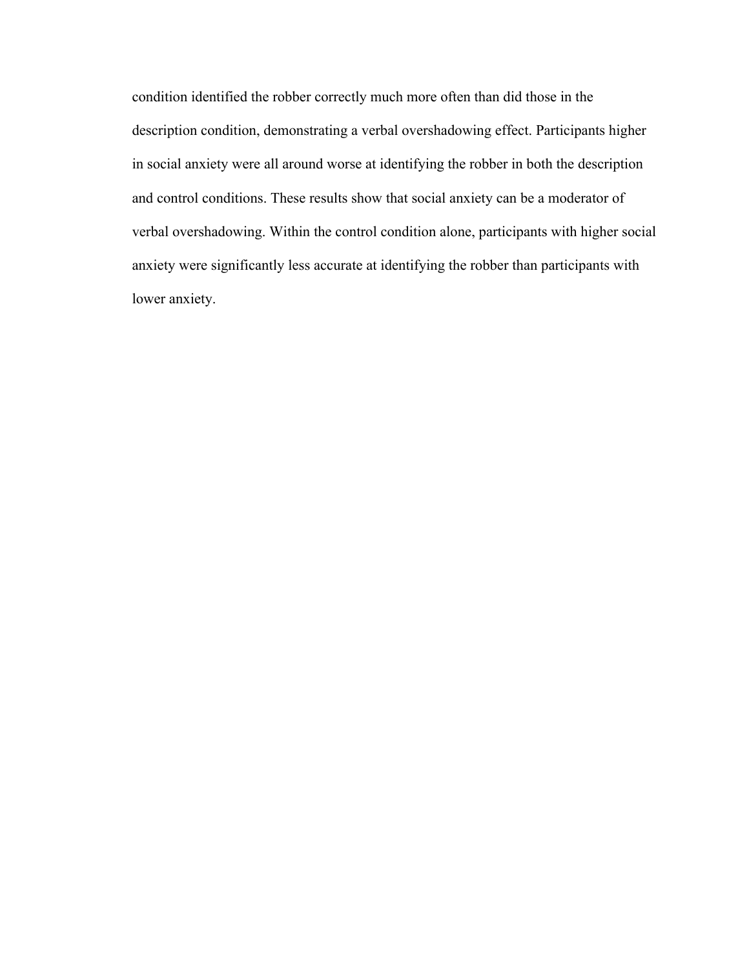condition identified the robber correctly much more often than did those in the description condition, demonstrating a verbal overshadowing effect. Participants higher in social anxiety were all around worse at identifying the robber in both the description and control conditions. These results show that social anxiety can be a moderator of verbal overshadowing. Within the control condition alone, participants with higher social anxiety were significantly less accurate at identifying the robber than participants with lower anxiety.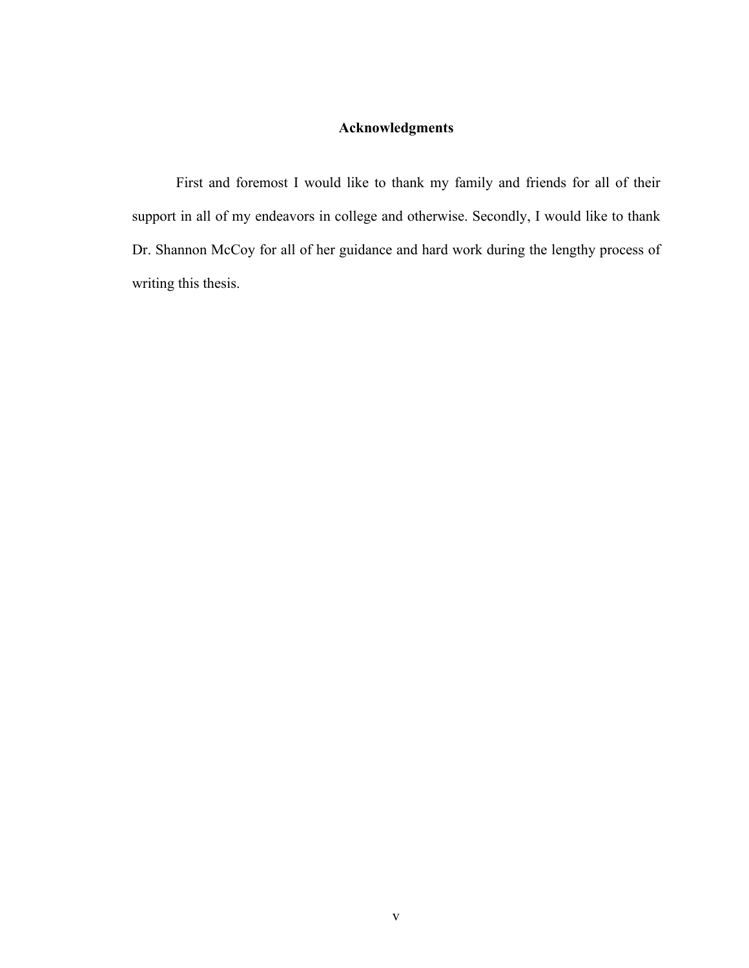# **Acknowledgments**

First and foremost I would like to thank my family and friends for all of their support in all of my endeavors in college and otherwise. Secondly, I would like to thank Dr. Shannon McCoy for all of her guidance and hard work during the lengthy process of writing this thesis.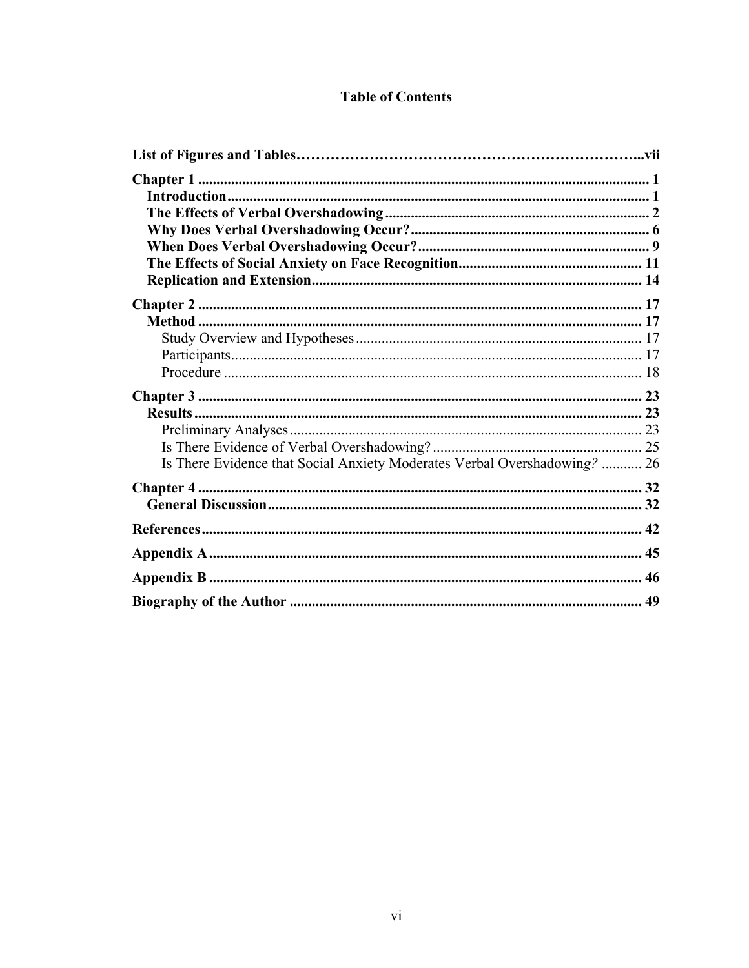# **Table of Contents**

| Is There Evidence that Social Anxiety Moderates Verbal Overshadowing?  26 |  |
|---------------------------------------------------------------------------|--|
|                                                                           |  |
|                                                                           |  |
|                                                                           |  |
|                                                                           |  |
|                                                                           |  |
|                                                                           |  |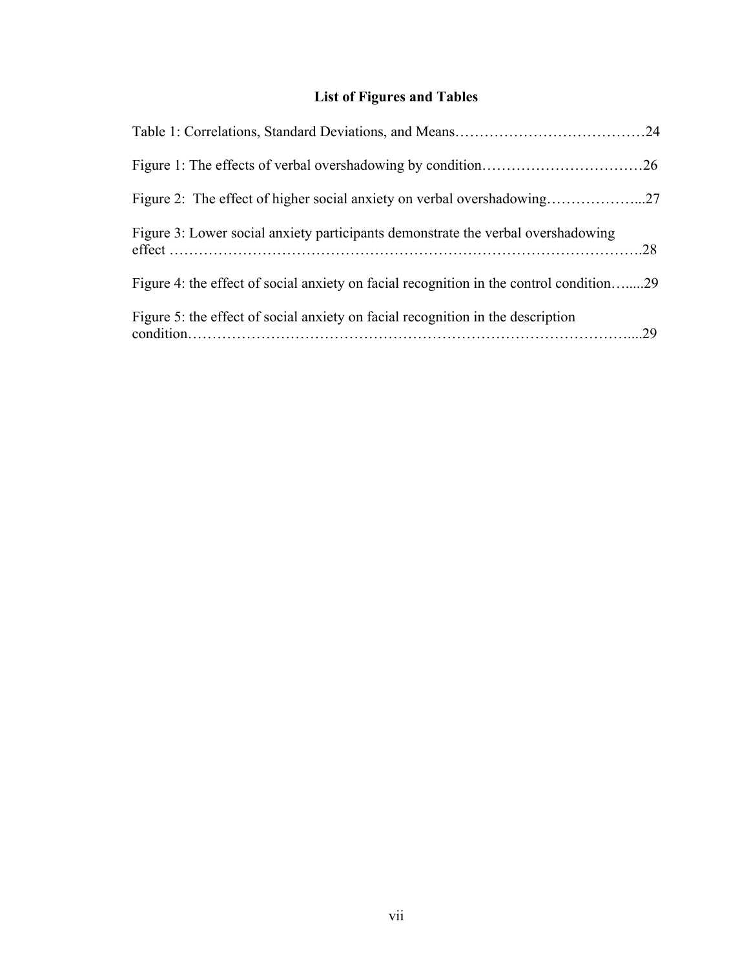# **List of Figures and Tables**

| Figure 3: Lower social anxiety participants demonstrate the verbal overshadowing        |  |
|-----------------------------------------------------------------------------------------|--|
| Figure 4: the effect of social anxiety on facial recognition in the control condition29 |  |
| Figure 5: the effect of social anxiety on facial recognition in the description         |  |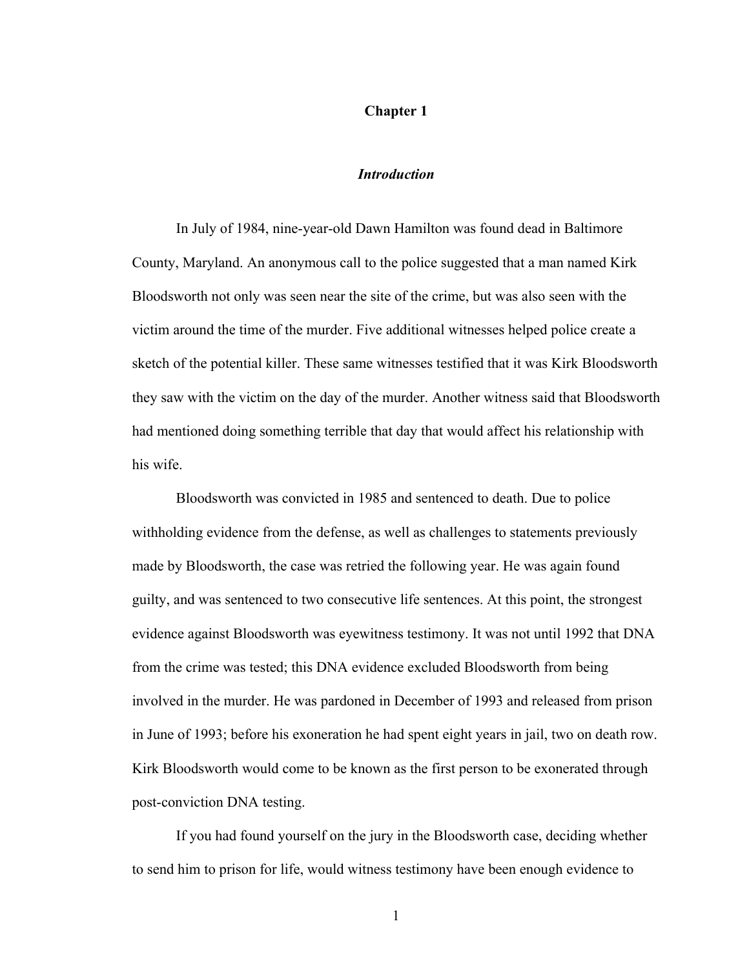## **Chapter 1**

### *Introduction*

In July of 1984, nine-year-old Dawn Hamilton was found dead in Baltimore County, Maryland. An anonymous call to the police suggested that a man named Kirk Bloodsworth not only was seen near the site of the crime, but was also seen with the victim around the time of the murder. Five additional witnesses helped police create a sketch of the potential killer. These same witnesses testified that it was Kirk Bloodsworth they saw with the victim on the day of the murder. Another witness said that Bloodsworth had mentioned doing something terrible that day that would affect his relationship with his wife.

Bloodsworth was convicted in 1985 and sentenced to death. Due to police withholding evidence from the defense, as well as challenges to statements previously made by Bloodsworth, the case was retried the following year. He was again found guilty, and was sentenced to two consecutive life sentences. At this point, the strongest evidence against Bloodsworth was eyewitness testimony. It was not until 1992 that DNA from the crime was tested; this DNA evidence excluded Bloodsworth from being involved in the murder. He was pardoned in December of 1993 and released from prison in June of 1993; before his exoneration he had spent eight years in jail, two on death row. Kirk Bloodsworth would come to be known as the first person to be exonerated through post-conviction DNA testing.

If you had found yourself on the jury in the Bloodsworth case, deciding whether to send him to prison for life, would witness testimony have been enough evidence to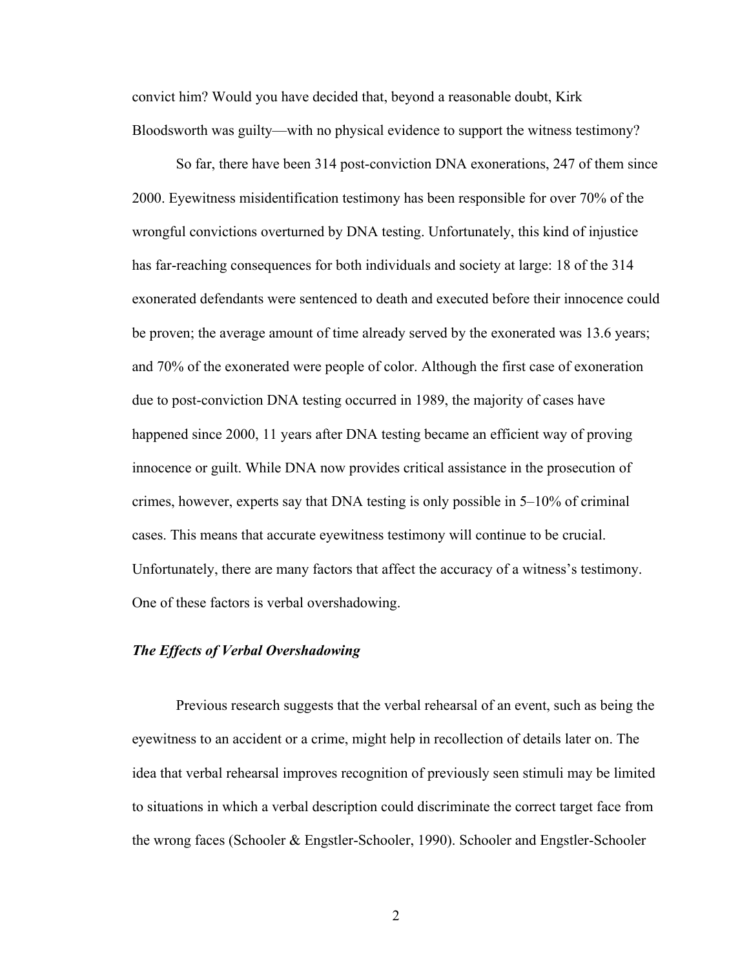convict him? Would you have decided that, beyond a reasonable doubt, Kirk Bloodsworth was guilty—with no physical evidence to support the witness testimony?

So far, there have been 314 post-conviction DNA exonerations, 247 of them since 2000. Eyewitness misidentification testimony has been responsible for over 70% of the wrongful convictions overturned by DNA testing. Unfortunately, this kind of injustice has far-reaching consequences for both individuals and society at large: 18 of the 314 exonerated defendants were sentenced to death and executed before their innocence could be proven; the average amount of time already served by the exonerated was 13.6 years; and 70% of the exonerated were people of color. Although the first case of exoneration due to post-conviction DNA testing occurred in 1989, the majority of cases have happened since 2000, 11 years after DNA testing became an efficient way of proving innocence or guilt. While DNA now provides critical assistance in the prosecution of crimes, however, experts say that DNA testing is only possible in 5–10% of criminal cases. This means that accurate eyewitness testimony will continue to be crucial. Unfortunately, there are many factors that affect the accuracy of a witness's testimony. One of these factors is verbal overshadowing.

# *The Effects of Verbal Overshadowing*

Previous research suggests that the verbal rehearsal of an event, such as being the eyewitness to an accident or a crime, might help in recollection of details later on. The idea that verbal rehearsal improves recognition of previously seen stimuli may be limited to situations in which a verbal description could discriminate the correct target face from the wrong faces (Schooler & Engstler-Schooler, 1990). Schooler and Engstler-Schooler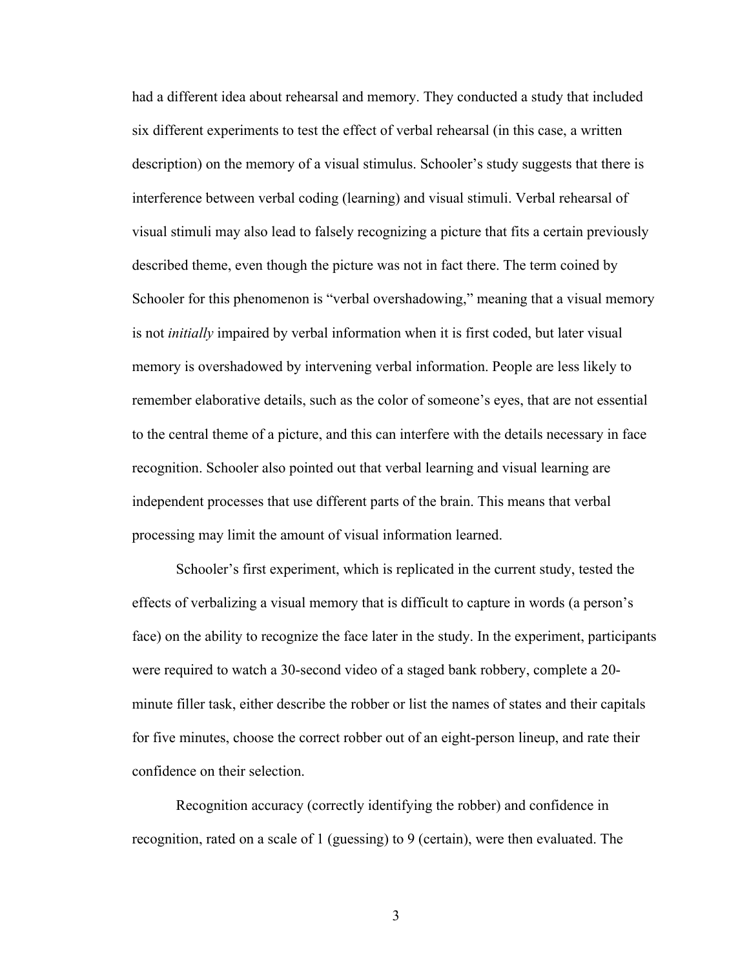had a different idea about rehearsal and memory. They conducted a study that included six different experiments to test the effect of verbal rehearsal (in this case, a written description) on the memory of a visual stimulus. Schooler's study suggests that there is interference between verbal coding (learning) and visual stimuli. Verbal rehearsal of visual stimuli may also lead to falsely recognizing a picture that fits a certain previously described theme, even though the picture was not in fact there. The term coined by Schooler for this phenomenon is "verbal overshadowing," meaning that a visual memory is not *initially* impaired by verbal information when it is first coded, but later visual memory is overshadowed by intervening verbal information. People are less likely to remember elaborative details, such as the color of someone's eyes, that are not essential to the central theme of a picture, and this can interfere with the details necessary in face recognition. Schooler also pointed out that verbal learning and visual learning are independent processes that use different parts of the brain. This means that verbal processing may limit the amount of visual information learned.

Schooler's first experiment, which is replicated in the current study, tested the effects of verbalizing a visual memory that is difficult to capture in words (a person's face) on the ability to recognize the face later in the study. In the experiment, participants were required to watch a 30-second video of a staged bank robbery, complete a 20 minute filler task, either describe the robber or list the names of states and their capitals for five minutes, choose the correct robber out of an eight-person lineup, and rate their confidence on their selection.

Recognition accuracy (correctly identifying the robber) and confidence in recognition, rated on a scale of 1 (guessing) to 9 (certain), were then evaluated. The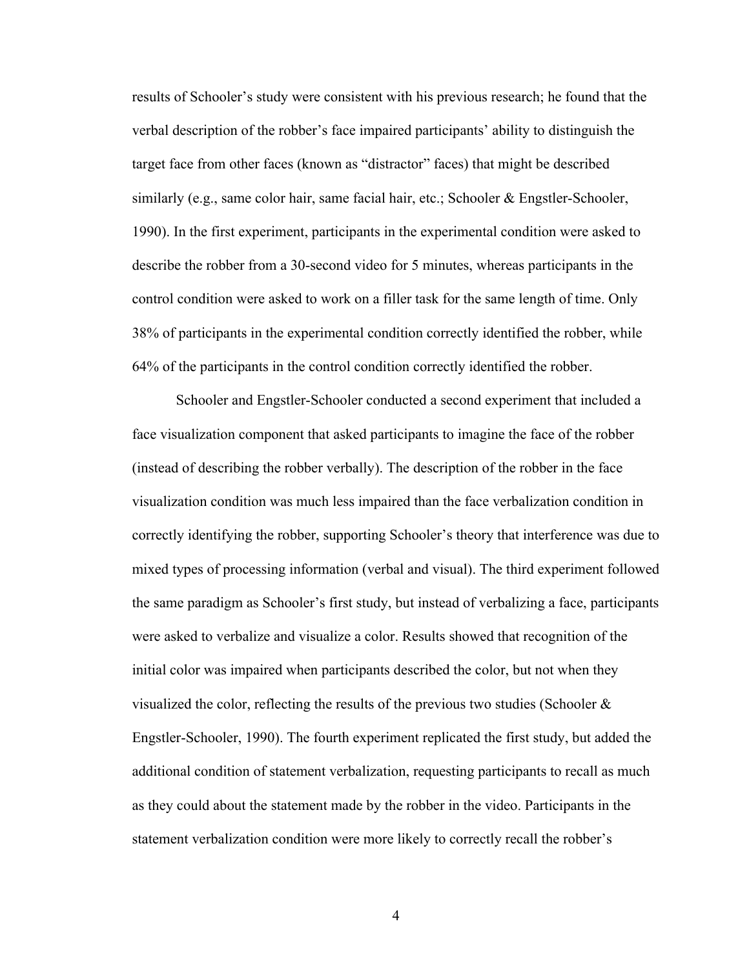results of Schooler's study were consistent with his previous research; he found that the verbal description of the robber's face impaired participants' ability to distinguish the target face from other faces (known as "distractor" faces) that might be described similarly (e.g., same color hair, same facial hair, etc.; Schooler  $\&$  Engstler-Schooler, 1990). In the first experiment, participants in the experimental condition were asked to describe the robber from a 30-second video for 5 minutes, whereas participants in the control condition were asked to work on a filler task for the same length of time. Only 38% of participants in the experimental condition correctly identified the robber, while 64% of the participants in the control condition correctly identified the robber.

Schooler and Engstler-Schooler conducted a second experiment that included a face visualization component that asked participants to imagine the face of the robber (instead of describing the robber verbally). The description of the robber in the face visualization condition was much less impaired than the face verbalization condition in correctly identifying the robber, supporting Schooler's theory that interference was due to mixed types of processing information (verbal and visual). The third experiment followed the same paradigm as Schooler's first study, but instead of verbalizing a face, participants were asked to verbalize and visualize a color. Results showed that recognition of the initial color was impaired when participants described the color, but not when they visualized the color, reflecting the results of the previous two studies (Schooler  $\&$ Engstler-Schooler, 1990). The fourth experiment replicated the first study, but added the additional condition of statement verbalization, requesting participants to recall as much as they could about the statement made by the robber in the video. Participants in the statement verbalization condition were more likely to correctly recall the robber's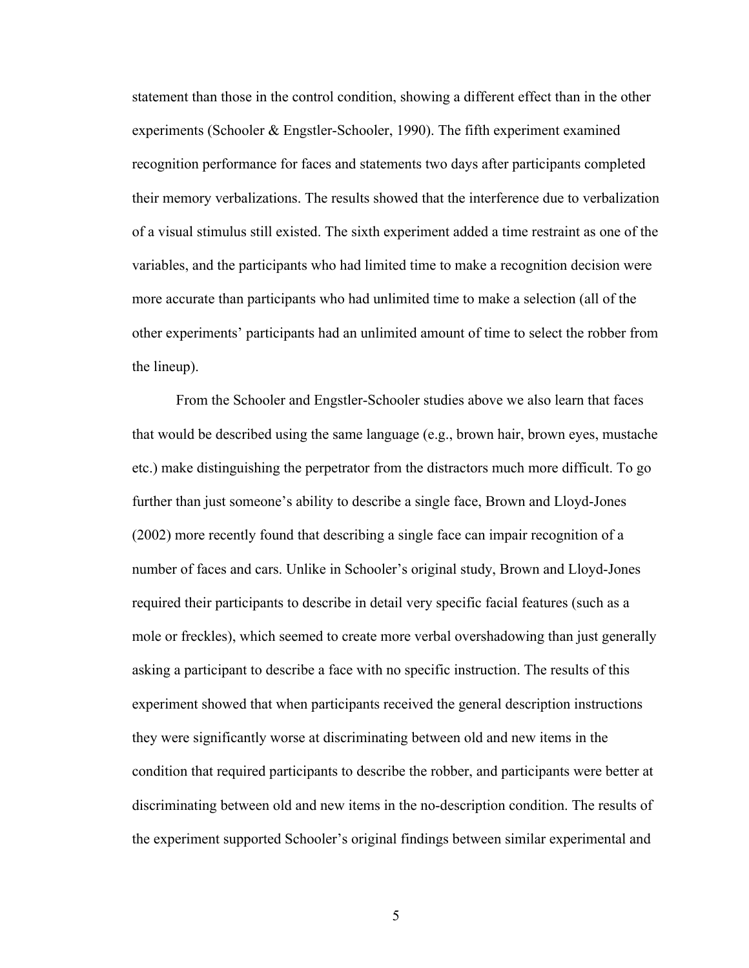statement than those in the control condition, showing a different effect than in the other experiments (Schooler & Engstler-Schooler, 1990). The fifth experiment examined recognition performance for faces and statements two days after participants completed their memory verbalizations. The results showed that the interference due to verbalization of a visual stimulus still existed. The sixth experiment added a time restraint as one of the variables, and the participants who had limited time to make a recognition decision were more accurate than participants who had unlimited time to make a selection (all of the other experiments' participants had an unlimited amount of time to select the robber from the lineup).

From the Schooler and Engstler-Schooler studies above we also learn that faces that would be described using the same language (e.g., brown hair, brown eyes, mustache etc.) make distinguishing the perpetrator from the distractors much more difficult. To go further than just someone's ability to describe a single face, Brown and Lloyd-Jones (2002) more recently found that describing a single face can impair recognition of a number of faces and cars. Unlike in Schooler's original study, Brown and Lloyd-Jones required their participants to describe in detail very specific facial features (such as a mole or freckles), which seemed to create more verbal overshadowing than just generally asking a participant to describe a face with no specific instruction. The results of this experiment showed that when participants received the general description instructions they were significantly worse at discriminating between old and new items in the condition that required participants to describe the robber, and participants were better at discriminating between old and new items in the no-description condition. The results of the experiment supported Schooler's original findings between similar experimental and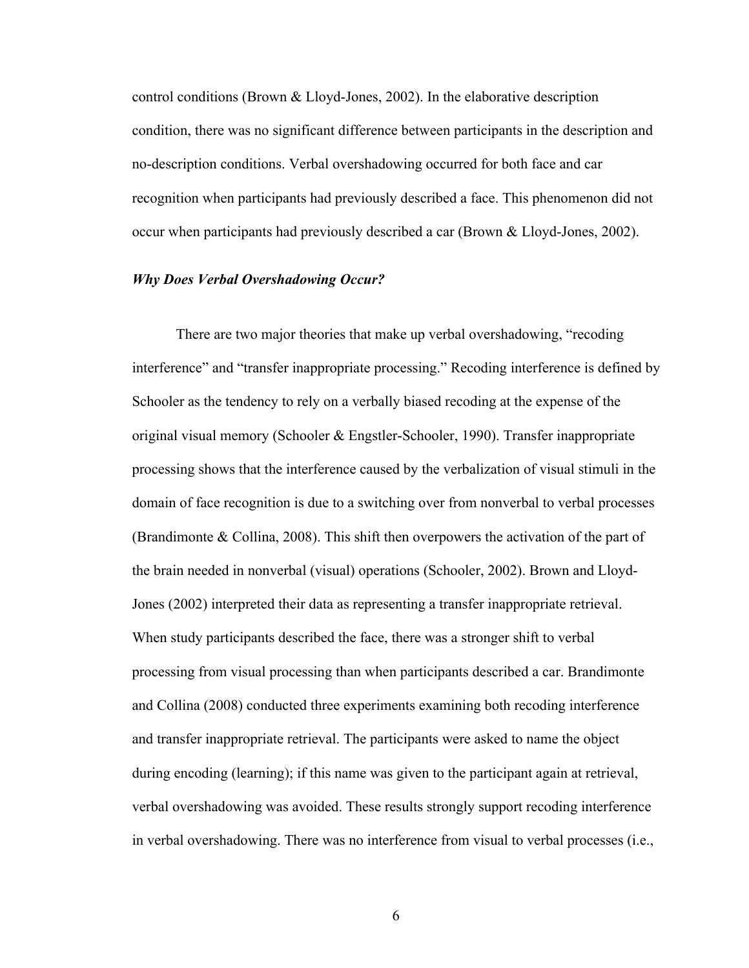control conditions (Brown & Lloyd-Jones, 2002). In the elaborative description condition, there was no significant difference between participants in the description and no-description conditions. Verbal overshadowing occurred for both face and car recognition when participants had previously described a face. This phenomenon did not occur when participants had previously described a car (Brown & Lloyd-Jones, 2002).

#### *Why Does Verbal Overshadowing Occur?*

There are two major theories that make up verbal overshadowing, "recoding interference" and "transfer inappropriate processing." Recoding interference is defined by Schooler as the tendency to rely on a verbally biased recoding at the expense of the original visual memory (Schooler & Engstler-Schooler, 1990). Transfer inappropriate processing shows that the interference caused by the verbalization of visual stimuli in the domain of face recognition is due to a switching over from nonverbal to verbal processes (Brandimonte & Collina, 2008). This shift then overpowers the activation of the part of the brain needed in nonverbal (visual) operations (Schooler, 2002). Brown and Lloyd-Jones (2002) interpreted their data as representing a transfer inappropriate retrieval. When study participants described the face, there was a stronger shift to verbal processing from visual processing than when participants described a car. Brandimonte and Collina (2008) conducted three experiments examining both recoding interference and transfer inappropriate retrieval. The participants were asked to name the object during encoding (learning); if this name was given to the participant again at retrieval, verbal overshadowing was avoided. These results strongly support recoding interference in verbal overshadowing. There was no interference from visual to verbal processes (i.e.,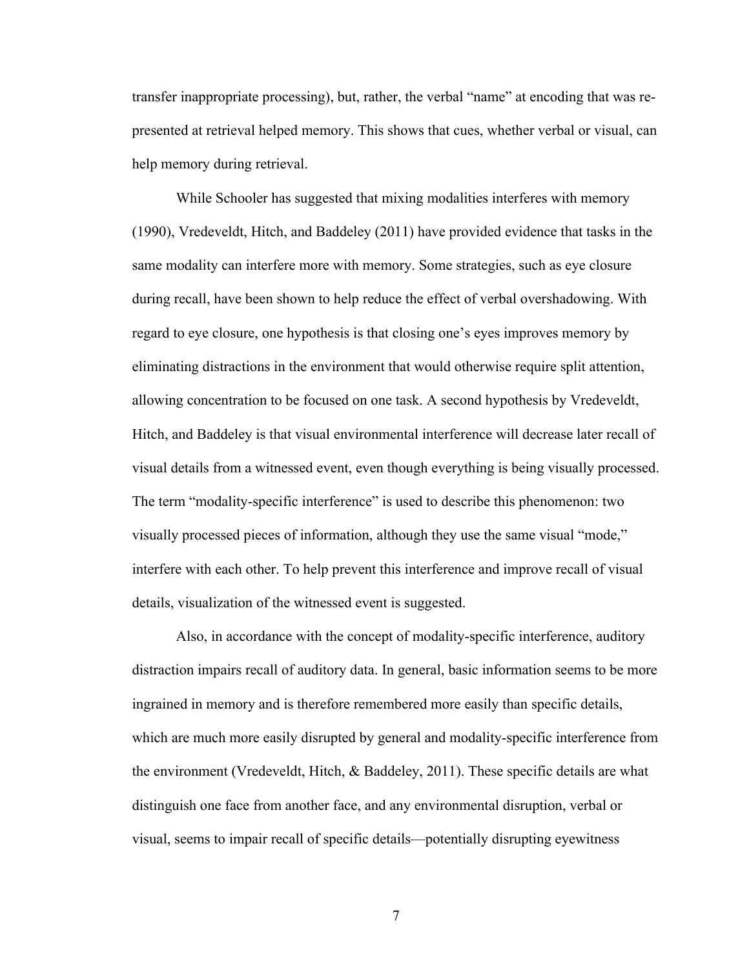transfer inappropriate processing), but, rather, the verbal "name" at encoding that was represented at retrieval helped memory. This shows that cues, whether verbal or visual, can help memory during retrieval.

While Schooler has suggested that mixing modalities interferes with memory (1990), Vredeveldt, Hitch, and Baddeley (2011) have provided evidence that tasks in the same modality can interfere more with memory. Some strategies, such as eye closure during recall, have been shown to help reduce the effect of verbal overshadowing. With regard to eye closure, one hypothesis is that closing one's eyes improves memory by eliminating distractions in the environment that would otherwise require split attention, allowing concentration to be focused on one task. A second hypothesis by Vredeveldt, Hitch, and Baddeley is that visual environmental interference will decrease later recall of visual details from a witnessed event, even though everything is being visually processed. The term "modality-specific interference" is used to describe this phenomenon: two visually processed pieces of information, although they use the same visual "mode," interfere with each other. To help prevent this interference and improve recall of visual details, visualization of the witnessed event is suggested.

Also, in accordance with the concept of modality-specific interference, auditory distraction impairs recall of auditory data. In general, basic information seems to be more ingrained in memory and is therefore remembered more easily than specific details, which are much more easily disrupted by general and modality-specific interference from the environment (Vredeveldt, Hitch, & Baddeley, 2011). These specific details are what distinguish one face from another face, and any environmental disruption, verbal or visual, seems to impair recall of specific details—potentially disrupting eyewitness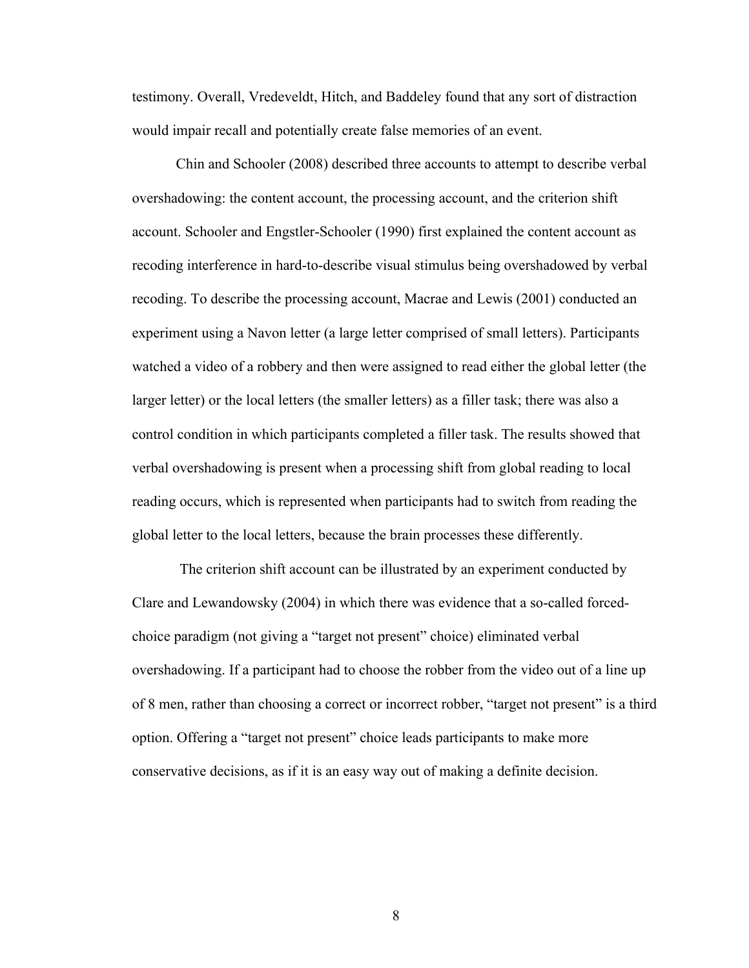testimony. Overall, Vredeveldt, Hitch, and Baddeley found that any sort of distraction would impair recall and potentially create false memories of an event.

Chin and Schooler (2008) described three accounts to attempt to describe verbal overshadowing: the content account, the processing account, and the criterion shift account. Schooler and Engstler-Schooler (1990) first explained the content account as recoding interference in hard-to-describe visual stimulus being overshadowed by verbal recoding. To describe the processing account, Macrae and Lewis (2001) conducted an experiment using a Navon letter (a large letter comprised of small letters). Participants watched a video of a robbery and then were assigned to read either the global letter (the larger letter) or the local letters (the smaller letters) as a filler task; there was also a control condition in which participants completed a filler task. The results showed that verbal overshadowing is present when a processing shift from global reading to local reading occurs, which is represented when participants had to switch from reading the global letter to the local letters, because the brain processes these differently.

The criterion shift account can be illustrated by an experiment conducted by Clare and Lewandowsky (2004) in which there was evidence that a so-called forcedchoice paradigm (not giving a "target not present" choice) eliminated verbal overshadowing. If a participant had to choose the robber from the video out of a line up of 8 men, rather than choosing a correct or incorrect robber, "target not present" is a third option. Offering a "target not present" choice leads participants to make more conservative decisions, as if it is an easy way out of making a definite decision.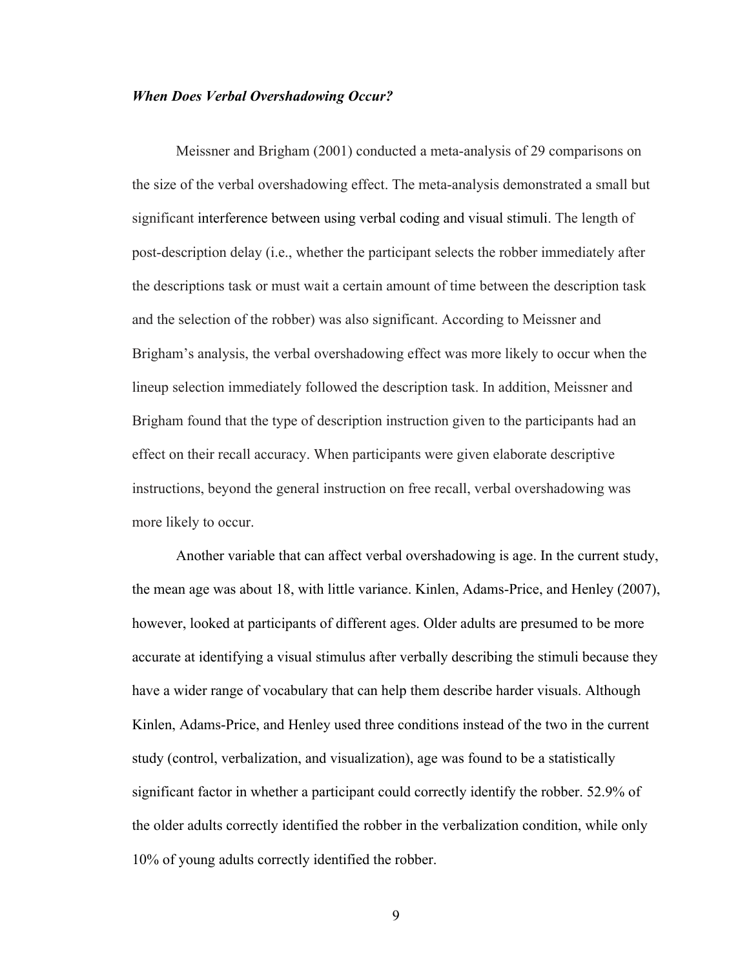#### *When Does Verbal Overshadowing Occur?*

Meissner and Brigham (2001) conducted a meta-analysis of 29 comparisons on the size of the verbal overshadowing effect. The meta-analysis demonstrated a small but significant interference between using verbal coding and visual stimuli. The length of post-description delay (i.e., whether the participant selects the robber immediately after the descriptions task or must wait a certain amount of time between the description task and the selection of the robber) was also significant. According to Meissner and Brigham's analysis, the verbal overshadowing effect was more likely to occur when the lineup selection immediately followed the description task. In addition, Meissner and Brigham found that the type of description instruction given to the participants had an effect on their recall accuracy. When participants were given elaborate descriptive instructions, beyond the general instruction on free recall, verbal overshadowing was more likely to occur.

Another variable that can affect verbal overshadowing is age. In the current study, the mean age was about 18, with little variance. Kinlen, Adams-Price, and Henley (2007), however, looked at participants of different ages. Older adults are presumed to be more accurate at identifying a visual stimulus after verbally describing the stimuli because they have a wider range of vocabulary that can help them describe harder visuals. Although Kinlen, Adams-Price, and Henley used three conditions instead of the two in the current study (control, verbalization, and visualization), age was found to be a statistically significant factor in whether a participant could correctly identify the robber. 52.9% of the older adults correctly identified the robber in the verbalization condition, while only 10% of young adults correctly identified the robber.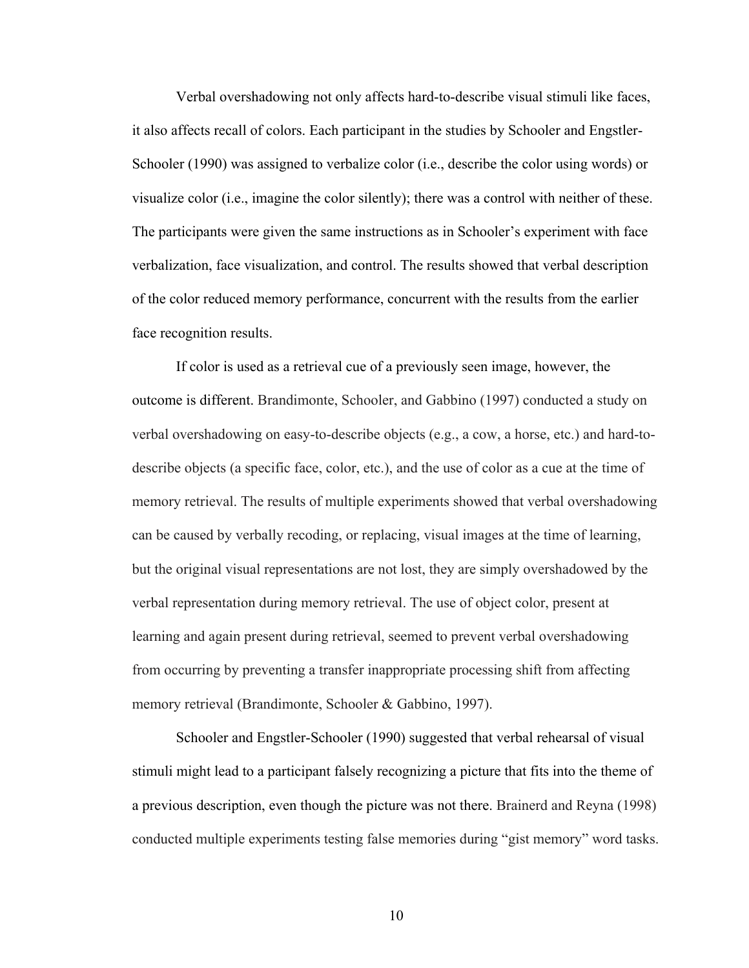Verbal overshadowing not only affects hard-to-describe visual stimuli like faces, it also affects recall of colors. Each participant in the studies by Schooler and Engstler-Schooler (1990) was assigned to verbalize color (i.e., describe the color using words) or visualize color (i.e., imagine the color silently); there was a control with neither of these. The participants were given the same instructions as in Schooler's experiment with face verbalization, face visualization, and control. The results showed that verbal description of the color reduced memory performance, concurrent with the results from the earlier face recognition results.

If color is used as a retrieval cue of a previously seen image, however, the outcome is different. Brandimonte, Schooler, and Gabbino (1997) conducted a study on verbal overshadowing on easy-to-describe objects (e.g., a cow, a horse, etc.) and hard-todescribe objects (a specific face, color, etc.), and the use of color as a cue at the time of memory retrieval. The results of multiple experiments showed that verbal overshadowing can be caused by verbally recoding, or replacing, visual images at the time of learning, but the original visual representations are not lost, they are simply overshadowed by the verbal representation during memory retrieval. The use of object color, present at learning and again present during retrieval, seemed to prevent verbal overshadowing from occurring by preventing a transfer inappropriate processing shift from affecting memory retrieval (Brandimonte, Schooler & Gabbino, 1997).

Schooler and Engstler-Schooler (1990) suggested that verbal rehearsal of visual stimuli might lead to a participant falsely recognizing a picture that fits into the theme of a previous description, even though the picture was not there. Brainerd and Reyna (1998) conducted multiple experiments testing false memories during "gist memory" word tasks.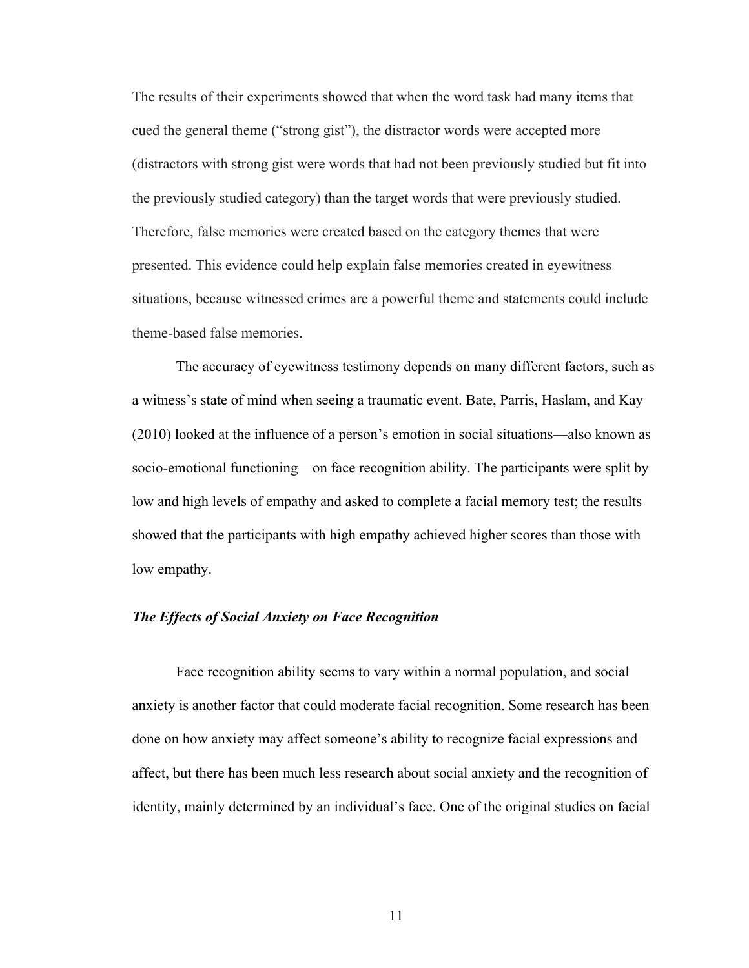The results of their experiments showed that when the word task had many items that cued the general theme ("strong gist"), the distractor words were accepted more (distractors with strong gist were words that had not been previously studied but fit into the previously studied category) than the target words that were previously studied. Therefore, false memories were created based on the category themes that were presented. This evidence could help explain false memories created in eyewitness situations, because witnessed crimes are a powerful theme and statements could include theme-based false memories.

The accuracy of eyewitness testimony depends on many different factors, such as a witness's state of mind when seeing a traumatic event. Bate, Parris, Haslam, and Kay (2010) looked at the influence of a person's emotion in social situations—also known as socio-emotional functioning—on face recognition ability. The participants were split by low and high levels of empathy and asked to complete a facial memory test; the results showed that the participants with high empathy achieved higher scores than those with low empathy.

#### *The Effects of Social Anxiety on Face Recognition*

Face recognition ability seems to vary within a normal population, and social anxiety is another factor that could moderate facial recognition. Some research has been done on how anxiety may affect someone's ability to recognize facial expressions and affect, but there has been much less research about social anxiety and the recognition of identity, mainly determined by an individual's face. One of the original studies on facial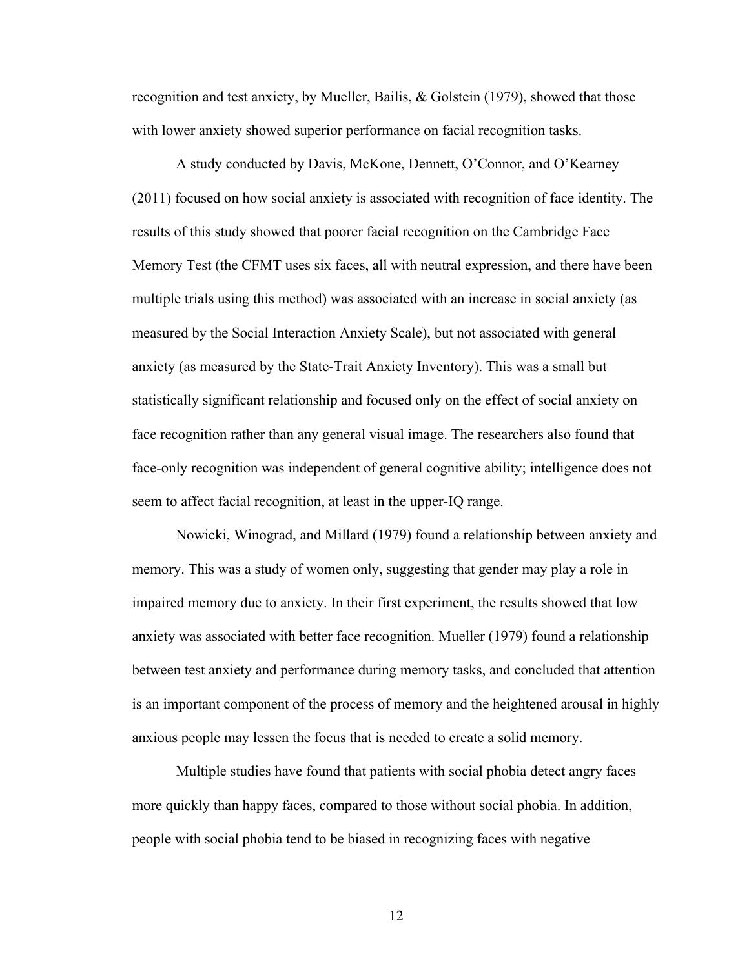recognition and test anxiety, by Mueller, Bailis, & Golstein (1979), showed that those with lower anxiety showed superior performance on facial recognition tasks.

A study conducted by Davis, McKone, Dennett, O'Connor, and O'Kearney (2011) focused on how social anxiety is associated with recognition of face identity. The results of this study showed that poorer facial recognition on the Cambridge Face Memory Test (the CFMT uses six faces, all with neutral expression, and there have been multiple trials using this method) was associated with an increase in social anxiety (as measured by the Social Interaction Anxiety Scale), but not associated with general anxiety (as measured by the State-Trait Anxiety Inventory). This was a small but statistically significant relationship and focused only on the effect of social anxiety on face recognition rather than any general visual image. The researchers also found that face-only recognition was independent of general cognitive ability; intelligence does not seem to affect facial recognition, at least in the upper-IQ range.

Nowicki, Winograd, and Millard (1979) found a relationship between anxiety and memory. This was a study of women only, suggesting that gender may play a role in impaired memory due to anxiety. In their first experiment, the results showed that low anxiety was associated with better face recognition. Mueller (1979) found a relationship between test anxiety and performance during memory tasks, and concluded that attention is an important component of the process of memory and the heightened arousal in highly anxious people may lessen the focus that is needed to create a solid memory.

Multiple studies have found that patients with social phobia detect angry faces more quickly than happy faces, compared to those without social phobia. In addition, people with social phobia tend to be biased in recognizing faces with negative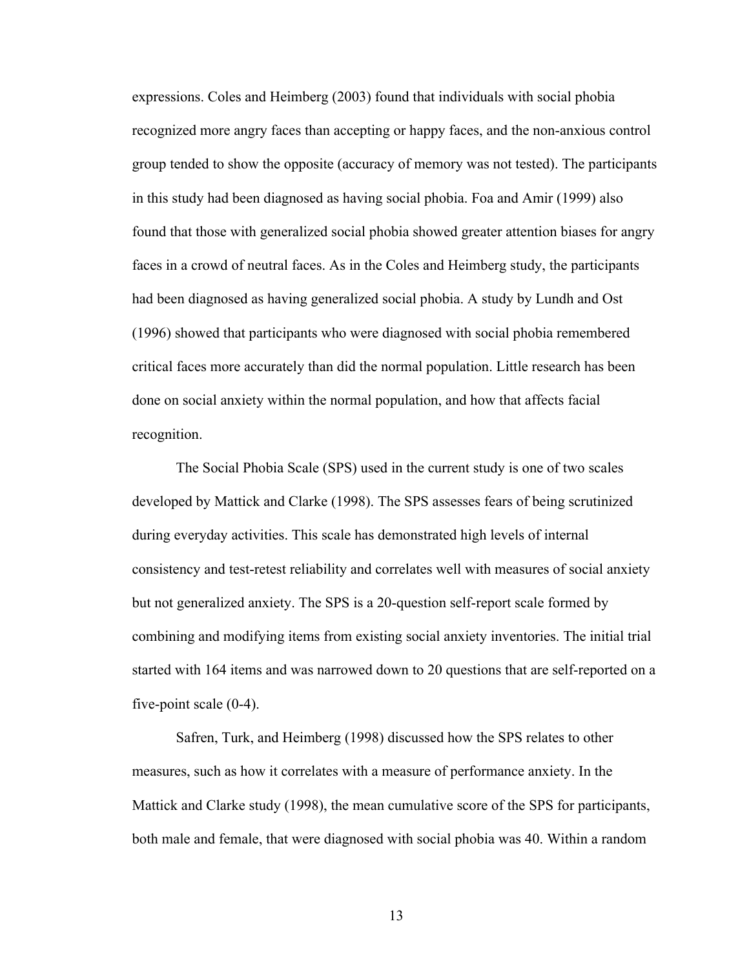expressions. Coles and Heimberg (2003) found that individuals with social phobia recognized more angry faces than accepting or happy faces, and the non-anxious control group tended to show the opposite (accuracy of memory was not tested). The participants in this study had been diagnosed as having social phobia. Foa and Amir (1999) also found that those with generalized social phobia showed greater attention biases for angry faces in a crowd of neutral faces. As in the Coles and Heimberg study, the participants had been diagnosed as having generalized social phobia. A study by Lundh and Ost (1996) showed that participants who were diagnosed with social phobia remembered critical faces more accurately than did the normal population. Little research has been done on social anxiety within the normal population, and how that affects facial recognition.

The Social Phobia Scale (SPS) used in the current study is one of two scales developed by Mattick and Clarke (1998). The SPS assesses fears of being scrutinized during everyday activities. This scale has demonstrated high levels of internal consistency and test-retest reliability and correlates well with measures of social anxiety but not generalized anxiety. The SPS is a 20-question self-report scale formed by combining and modifying items from existing social anxiety inventories. The initial trial started with 164 items and was narrowed down to 20 questions that are self-reported on a five-point scale (0-4).

Safren, Turk, and Heimberg (1998) discussed how the SPS relates to other measures, such as how it correlates with a measure of performance anxiety. In the Mattick and Clarke study (1998), the mean cumulative score of the SPS for participants, both male and female, that were diagnosed with social phobia was 40. Within a random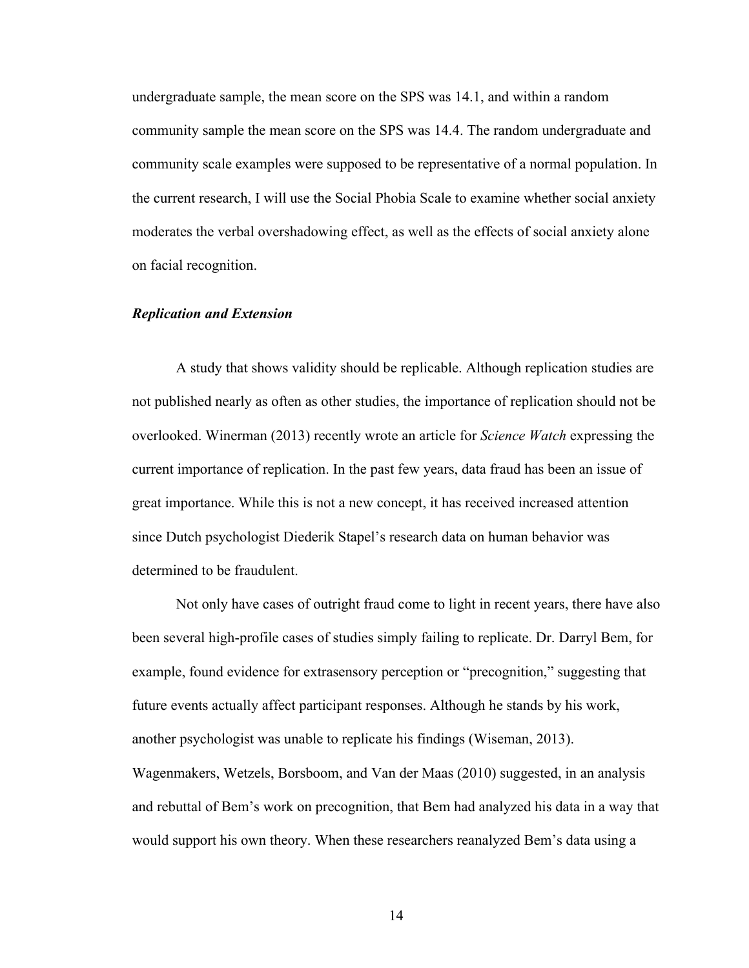undergraduate sample, the mean score on the SPS was 14.1, and within a random community sample the mean score on the SPS was 14.4. The random undergraduate and community scale examples were supposed to be representative of a normal population. In the current research, I will use the Social Phobia Scale to examine whether social anxiety moderates the verbal overshadowing effect, as well as the effects of social anxiety alone on facial recognition.

# *Replication and Extension*

A study that shows validity should be replicable. Although replication studies are not published nearly as often as other studies, the importance of replication should not be overlooked. Winerman (2013) recently wrote an article for *Science Watch* expressing the current importance of replication. In the past few years, data fraud has been an issue of great importance. While this is not a new concept, it has received increased attention since Dutch psychologist Diederik Stapel's research data on human behavior was determined to be fraudulent.

Not only have cases of outright fraud come to light in recent years, there have also been several high-profile cases of studies simply failing to replicate. Dr. Darryl Bem, for example, found evidence for extrasensory perception or "precognition," suggesting that future events actually affect participant responses. Although he stands by his work, another psychologist was unable to replicate his findings (Wiseman, 2013). Wagenmakers, Wetzels, Borsboom, and Van der Maas (2010) suggested, in an analysis and rebuttal of Bem's work on precognition, that Bem had analyzed his data in a way that would support his own theory. When these researchers reanalyzed Bem's data using a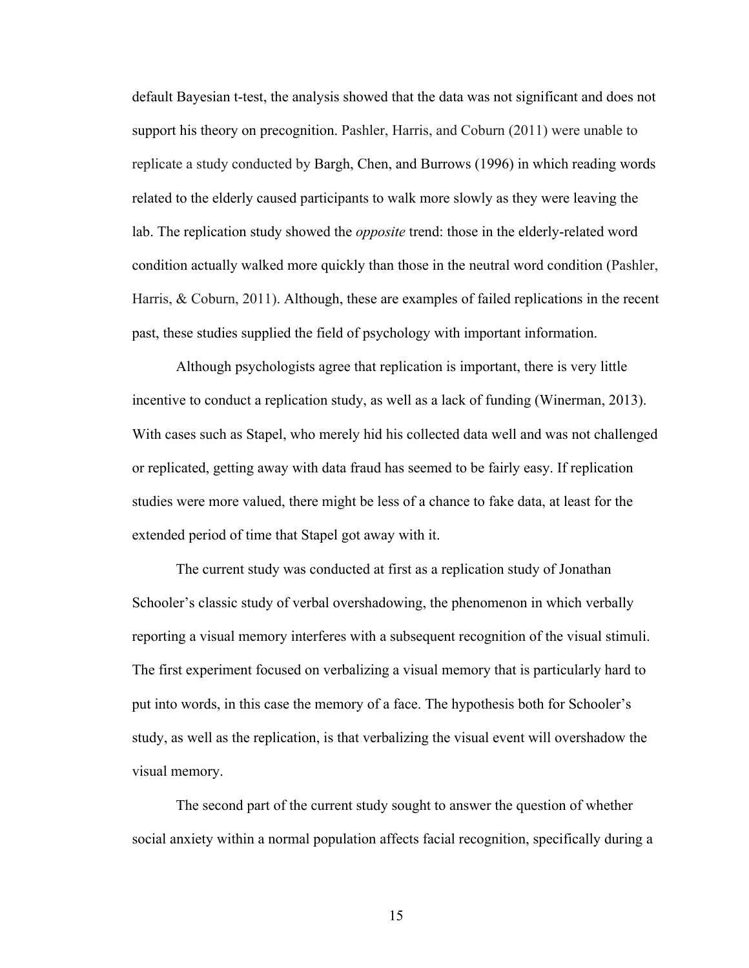default Bayesian t-test, the analysis showed that the data was not significant and does not support his theory on precognition. Pashler, Harris, and Coburn (2011) were unable to replicate a study conducted by Bargh, Chen, and Burrows (1996) in which reading words related to the elderly caused participants to walk more slowly as they were leaving the lab. The replication study showed the *opposite* trend: those in the elderly-related word condition actually walked more quickly than those in the neutral word condition (Pashler, Harris, & Coburn, 2011). Although, these are examples of failed replications in the recent past, these studies supplied the field of psychology with important information.

Although psychologists agree that replication is important, there is very little incentive to conduct a replication study, as well as a lack of funding (Winerman, 2013). With cases such as Stapel, who merely hid his collected data well and was not challenged or replicated, getting away with data fraud has seemed to be fairly easy. If replication studies were more valued, there might be less of a chance to fake data, at least for the extended period of time that Stapel got away with it.

The current study was conducted at first as a replication study of Jonathan Schooler's classic study of verbal overshadowing, the phenomenon in which verbally reporting a visual memory interferes with a subsequent recognition of the visual stimuli. The first experiment focused on verbalizing a visual memory that is particularly hard to put into words, in this case the memory of a face. The hypothesis both for Schooler's study, as well as the replication, is that verbalizing the visual event will overshadow the visual memory.

The second part of the current study sought to answer the question of whether social anxiety within a normal population affects facial recognition, specifically during a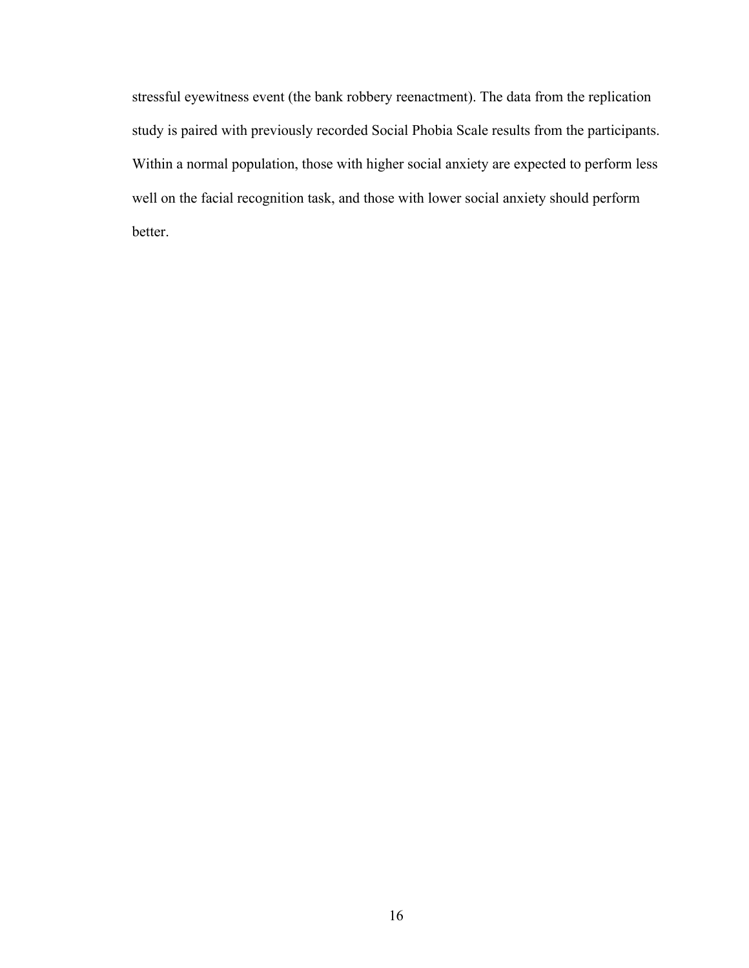stressful eyewitness event (the bank robbery reenactment). The data from the replication study is paired with previously recorded Social Phobia Scale results from the participants. Within a normal population, those with higher social anxiety are expected to perform less well on the facial recognition task, and those with lower social anxiety should perform better.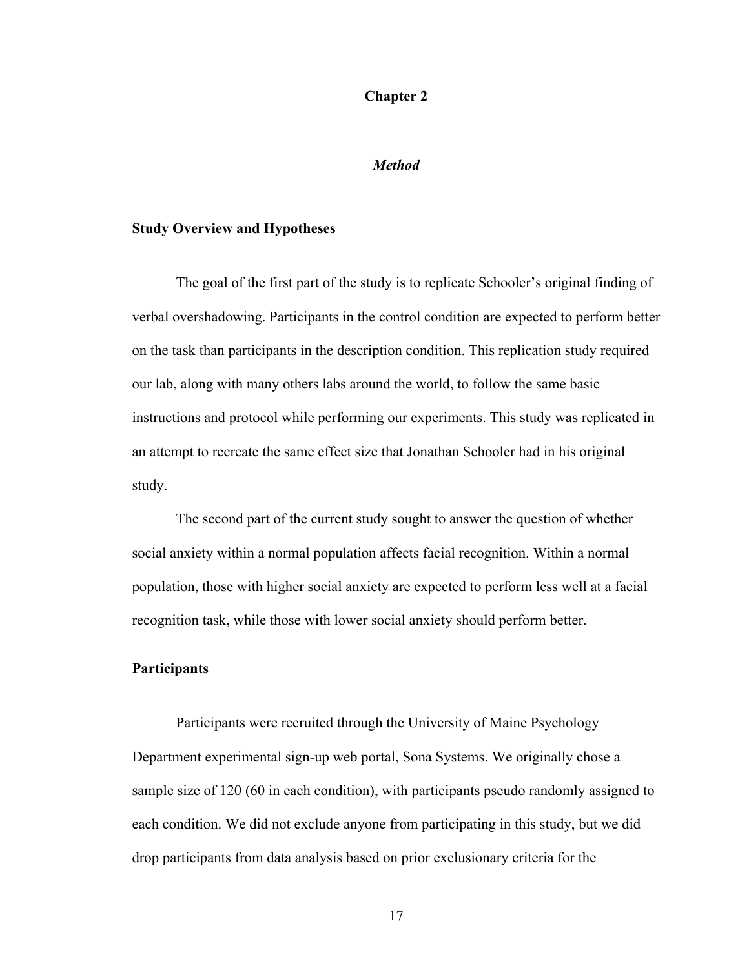#### **Chapter 2**

#### *Method*

# **Study Overview and Hypotheses**

The goal of the first part of the study is to replicate Schooler's original finding of verbal overshadowing. Participants in the control condition are expected to perform better on the task than participants in the description condition. This replication study required our lab, along with many others labs around the world, to follow the same basic instructions and protocol while performing our experiments. This study was replicated in an attempt to recreate the same effect size that Jonathan Schooler had in his original study.

The second part of the current study sought to answer the question of whether social anxiety within a normal population affects facial recognition. Within a normal population, those with higher social anxiety are expected to perform less well at a facial recognition task, while those with lower social anxiety should perform better.

# **Participants**

Participants were recruited through the University of Maine Psychology Department experimental sign-up web portal, Sona Systems. We originally chose a sample size of 120 (60 in each condition), with participants pseudo randomly assigned to each condition. We did not exclude anyone from participating in this study, but we did drop participants from data analysis based on prior exclusionary criteria for the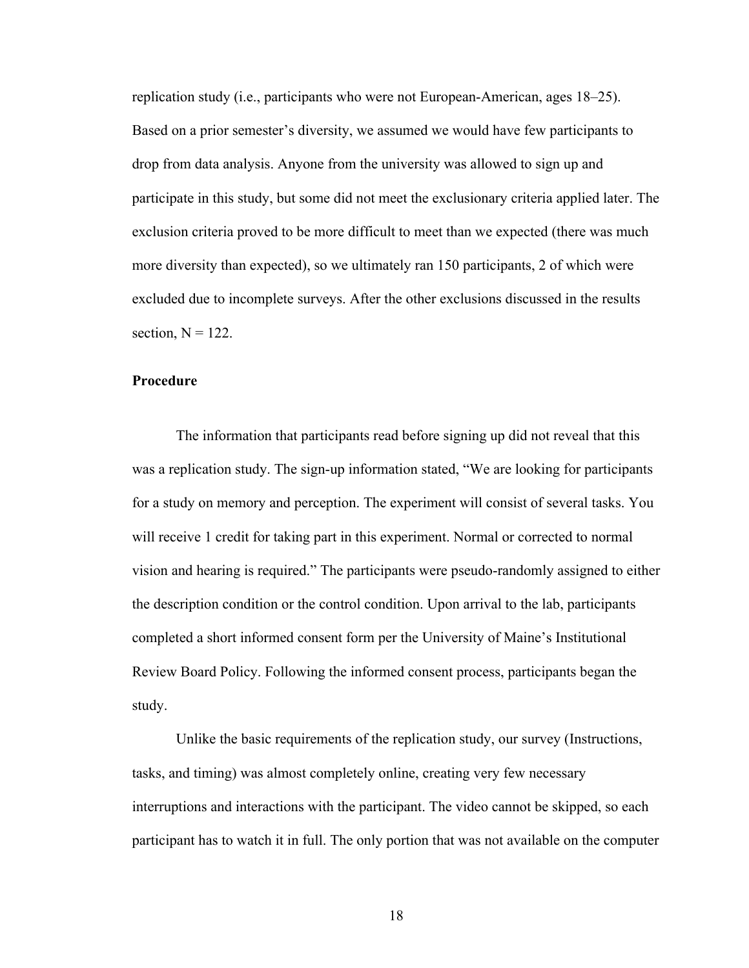replication study (i.e., participants who were not European-American, ages 18–25). Based on a prior semester's diversity, we assumed we would have few participants to drop from data analysis. Anyone from the university was allowed to sign up and participate in this study, but some did not meet the exclusionary criteria applied later. The exclusion criteria proved to be more difficult to meet than we expected (there was much more diversity than expected), so we ultimately ran 150 participants, 2 of which were excluded due to incomplete surveys. After the other exclusions discussed in the results section,  $N = 122$ .

## **Procedure**

The information that participants read before signing up did not reveal that this was a replication study. The sign-up information stated, "We are looking for participants for a study on memory and perception. The experiment will consist of several tasks. You will receive 1 credit for taking part in this experiment. Normal or corrected to normal vision and hearing is required." The participants were pseudo-randomly assigned to either the description condition or the control condition. Upon arrival to the lab, participants completed a short informed consent form per the University of Maine's Institutional Review Board Policy. Following the informed consent process, participants began the study.

Unlike the basic requirements of the replication study, our survey (Instructions, tasks, and timing) was almost completely online, creating very few necessary interruptions and interactions with the participant. The video cannot be skipped, so each participant has to watch it in full. The only portion that was not available on the computer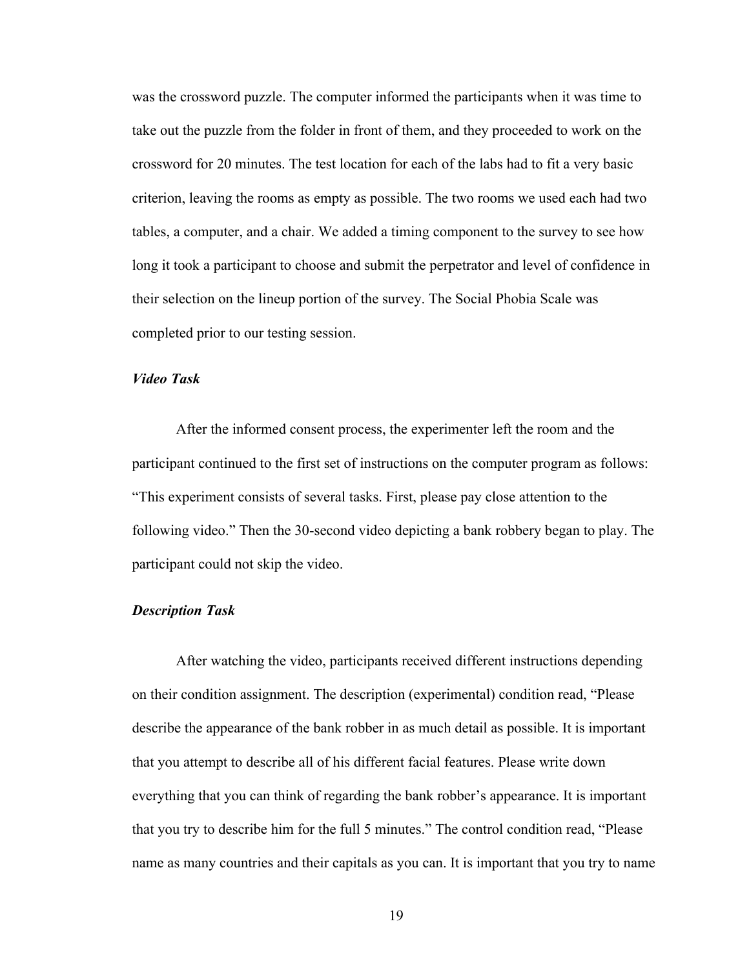was the crossword puzzle. The computer informed the participants when it was time to take out the puzzle from the folder in front of them, and they proceeded to work on the crossword for 20 minutes. The test location for each of the labs had to fit a very basic criterion, leaving the rooms as empty as possible. The two rooms we used each had two tables, a computer, and a chair. We added a timing component to the survey to see how long it took a participant to choose and submit the perpetrator and level of confidence in their selection on the lineup portion of the survey. The Social Phobia Scale was completed prior to our testing session.

# *Video Task*

After the informed consent process, the experimenter left the room and the participant continued to the first set of instructions on the computer program as follows: "This experiment consists of several tasks. First, please pay close attention to the following video." Then the 30-second video depicting a bank robbery began to play. The participant could not skip the video.

# *Description Task*

After watching the video, participants received different instructions depending on their condition assignment. The description (experimental) condition read, "Please describe the appearance of the bank robber in as much detail as possible. It is important that you attempt to describe all of his different facial features. Please write down everything that you can think of regarding the bank robber's appearance. It is important that you try to describe him for the full 5 minutes." The control condition read, "Please name as many countries and their capitals as you can. It is important that you try to name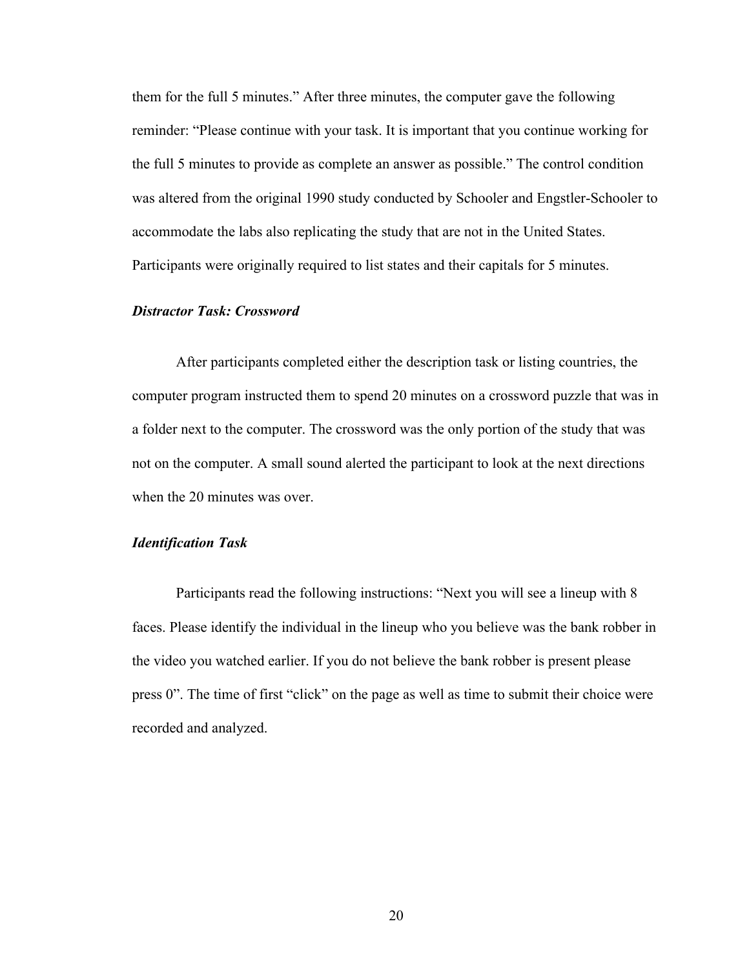them for the full 5 minutes." After three minutes, the computer gave the following reminder: "Please continue with your task. It is important that you continue working for the full 5 minutes to provide as complete an answer as possible." The control condition was altered from the original 1990 study conducted by Schooler and Engstler-Schooler to accommodate the labs also replicating the study that are not in the United States. Participants were originally required to list states and their capitals for 5 minutes.

# *Distractor Task: Crossword*

After participants completed either the description task or listing countries, the computer program instructed them to spend 20 minutes on a crossword puzzle that was in a folder next to the computer. The crossword was the only portion of the study that was not on the computer. A small sound alerted the participant to look at the next directions when the 20 minutes was over.

#### *Identification Task*

Participants read the following instructions: "Next you will see a lineup with 8 faces. Please identify the individual in the lineup who you believe was the bank robber in the video you watched earlier. If you do not believe the bank robber is present please press 0". The time of first "click" on the page as well as time to submit their choice were recorded and analyzed.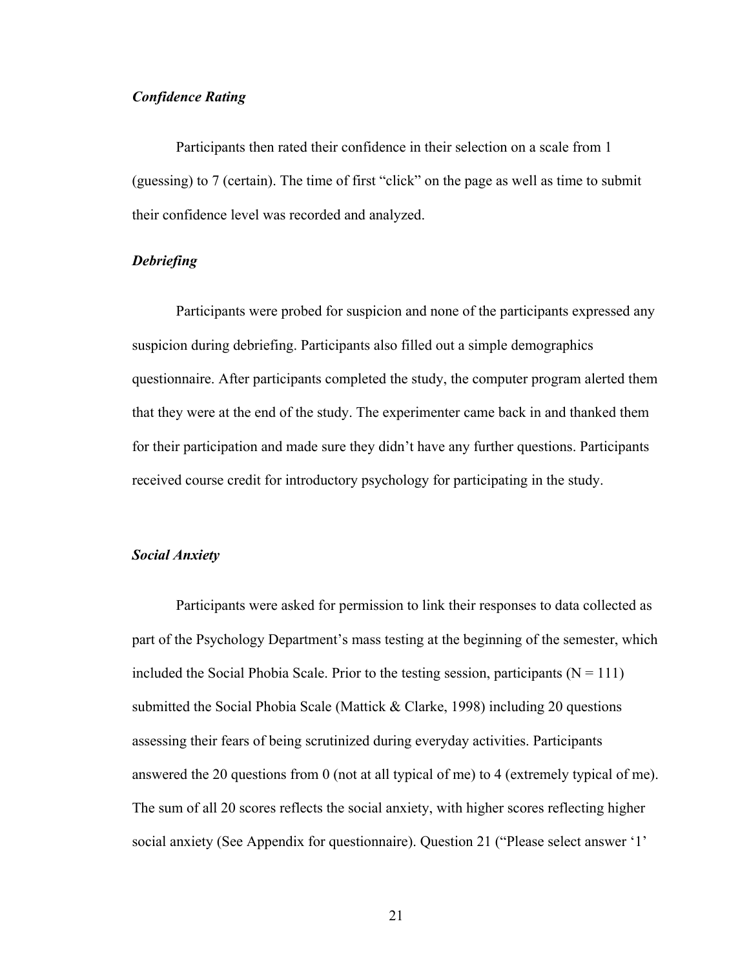# *Confidence Rating*

Participants then rated their confidence in their selection on a scale from 1 (guessing) to 7 (certain). The time of first "click" on the page as well as time to submit their confidence level was recorded and analyzed.

# *Debriefing*

Participants were probed for suspicion and none of the participants expressed any suspicion during debriefing. Participants also filled out a simple demographics questionnaire. After participants completed the study, the computer program alerted them that they were at the end of the study. The experimenter came back in and thanked them for their participation and made sure they didn't have any further questions. Participants received course credit for introductory psychology for participating in the study.

#### *Social Anxiety*

Participants were asked for permission to link their responses to data collected as part of the Psychology Department's mass testing at the beginning of the semester, which included the Social Phobia Scale. Prior to the testing session, participants  $(N = 111)$ submitted the Social Phobia Scale (Mattick & Clarke, 1998) including 20 questions assessing their fears of being scrutinized during everyday activities. Participants answered the 20 questions from 0 (not at all typical of me) to 4 (extremely typical of me). The sum of all 20 scores reflects the social anxiety, with higher scores reflecting higher social anxiety (See Appendix for questionnaire). Question 21 ("Please select answer '1'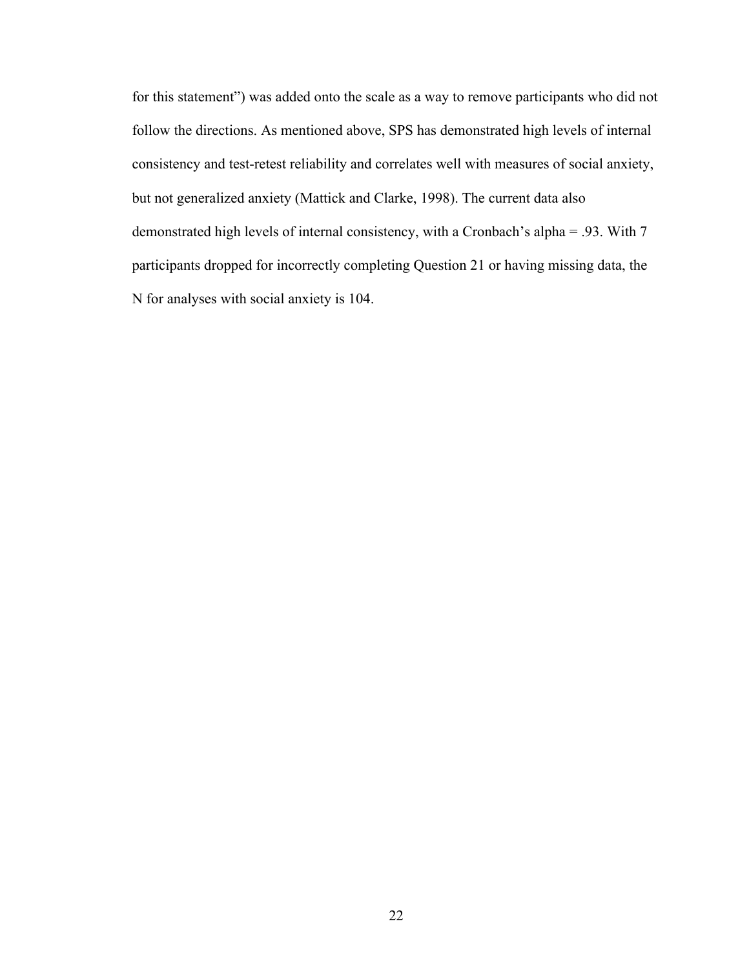for this statement") was added onto the scale as a way to remove participants who did not follow the directions. As mentioned above, SPS has demonstrated high levels of internal consistency and test-retest reliability and correlates well with measures of social anxiety, but not generalized anxiety (Mattick and Clarke, 1998). The current data also demonstrated high levels of internal consistency, with a Cronbach's alpha = .93. With 7 participants dropped for incorrectly completing Question 21 or having missing data, the N for analyses with social anxiety is 104.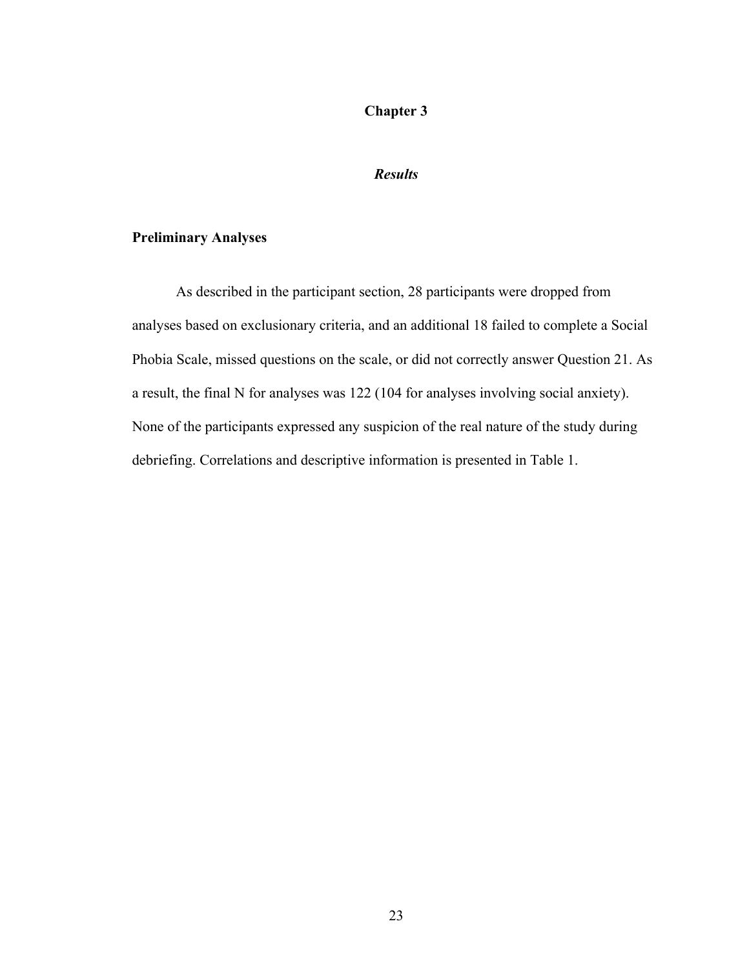# **Chapter 3**

# *Results*

# **Preliminary Analyses**

As described in the participant section, 28 participants were dropped from analyses based on exclusionary criteria, and an additional 18 failed to complete a Social Phobia Scale, missed questions on the scale, or did not correctly answer Question 21. As a result, the final N for analyses was 122 (104 for analyses involving social anxiety). None of the participants expressed any suspicion of the real nature of the study during debriefing. Correlations and descriptive information is presented in Table 1.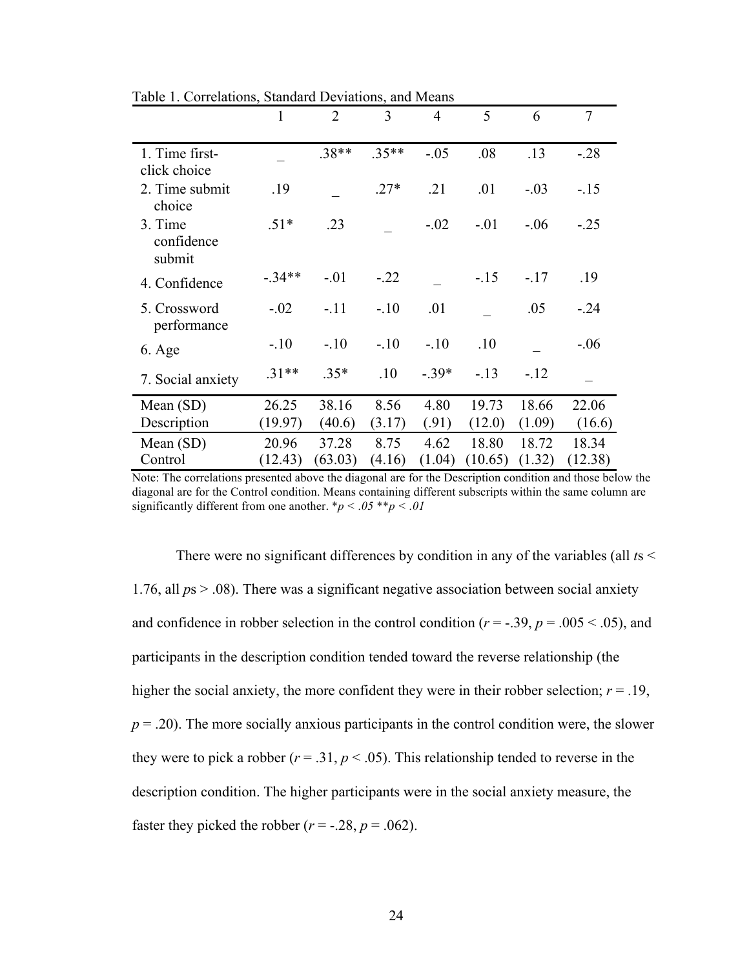|                                 | $\mathbf{1}$ | $\overline{2}$ | 3       | $\overline{4}$ | 5       | 6      | $\overline{7}$ |
|---------------------------------|--------------|----------------|---------|----------------|---------|--------|----------------|
| 1. Time first-<br>click choice  |              | $.38**$        | $.35**$ | $-.05$         | .08     | .13    | $-.28$         |
| 2. Time submit<br>choice        | .19          |                | $.27*$  | .21            | .01     | $-.03$ | $-15$          |
| 3. Time<br>confidence<br>submit | $.51*$       | .23            |         | $-.02$         | $-.01$  | $-.06$ | $-.25$         |
| 4. Confidence                   | $-.34**$     | $-.01$         | $-.22$  |                | $-.15$  | $-.17$ | .19            |
| 5. Crossword<br>performance     | $-.02$       | $-.11$         | $-.10$  | .01            |         | .05    | $-.24$         |
| $6. \text{Age}$                 | $-.10$       | $-.10$         | $-.10$  | $-.10$         | .10     |        | $-.06$         |
| 7. Social anxiety               | $.31**$      | $.35*$         | .10     | $-.39*$        | $-.13$  | $-12$  |                |
| Mean (SD)                       | 26.25        | 38.16          | 8.56    | 4.80           | 19.73   | 18.66  | 22.06          |
| Description                     | (19.97)      | (40.6)         | (3.17)  | (.91)          | (12.0)  | (1.09) | (16.6)         |
| Mean $(SD)$                     | 20.96        | 37.28          | 8.75    | 4.62           | 18.80   | 18.72  | 18.34          |
| Control                         | (12.43)      | (63.03)        | (4.16)  | (1.04)         | (10.65) | (1.32) | (12.38)        |

Table 1. Correlations, Standard Deviations, and Means

Note: The correlations presented above the diagonal are for the Description condition and those below the diagonal are for the Control condition. Means containing different subscripts within the same column are significantly different from one another.  $*_p$  < .05  $**_p$  < .01

There were no significant differences by condition in any of the variables (all *t*s < 1.76, all *p*s > .08). There was a significant negative association between social anxiety and confidence in robber selection in the control condition ( $r = -.39$ ,  $p = .005 < .05$ ), and participants in the description condition tended toward the reverse relationship (the higher the social anxiety, the more confident they were in their robber selection;  $r = .19$ ,  $p = 0.20$ . The more socially anxious participants in the control condition were, the slower they were to pick a robber ( $r = .31$ ,  $p < .05$ ). This relationship tended to reverse in the description condition. The higher participants were in the social anxiety measure, the faster they picked the robber  $(r = -.28, p = .062)$ .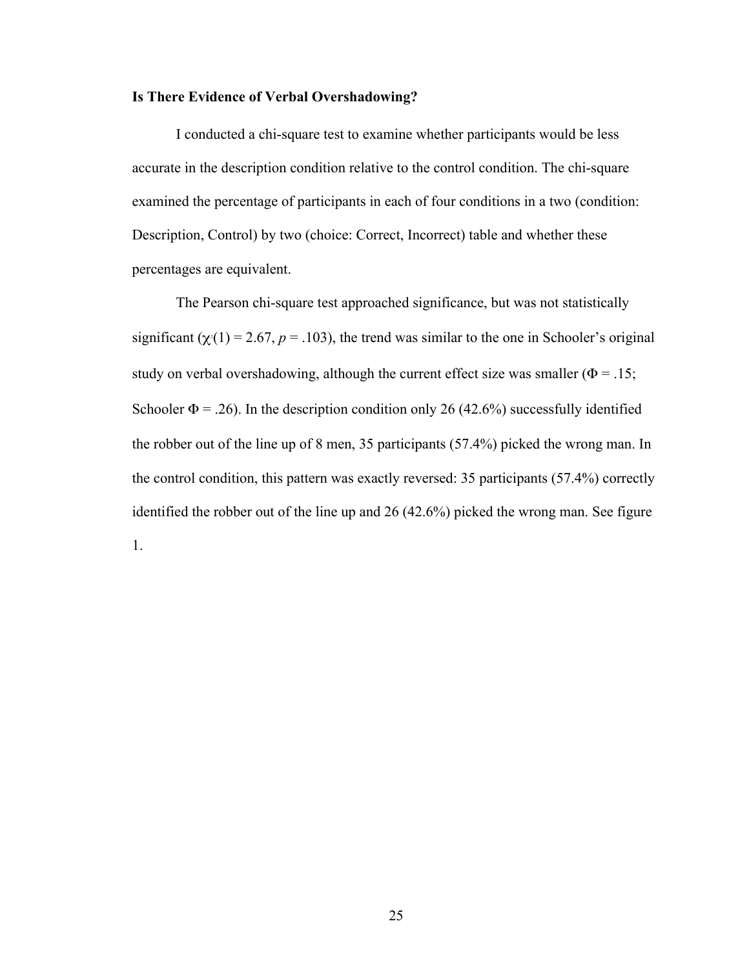#### **Is There Evidence of Verbal Overshadowing?**

I conducted a chi-square test to examine whether participants would be less accurate in the description condition relative to the control condition. The chi-square examined the percentage of participants in each of four conditions in a two (condition: Description, Control) by two (choice: Correct, Incorrect) table and whether these percentages are equivalent.

The Pearson chi-square test approached significance, but was not statistically significant ( $\chi$ <sup>(</sup>1) = 2.67, *p* = .103), the trend was similar to the one in Schooler's original study on verbal overshadowing, although the current effect size was smaller ( $\Phi$  = .15; Schooler  $\Phi$  = .26). In the description condition only 26 (42.6%) successfully identified the robber out of the line up of 8 men, 35 participants (57.4%) picked the wrong man. In the control condition, this pattern was exactly reversed: 35 participants (57.4%) correctly identified the robber out of the line up and 26 (42.6%) picked the wrong man. See figure 1.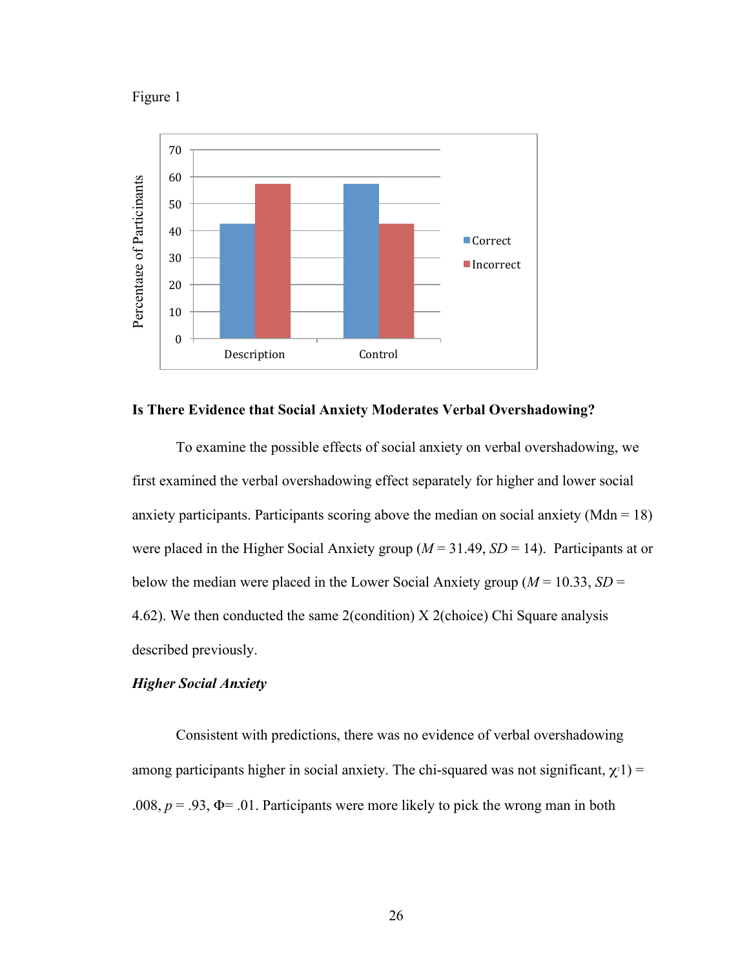



#### **Is There Evidence that Social Anxiety Moderates Verbal Overshadowing?**

To examine the possible effects of social anxiety on verbal overshadowing, we first examined the verbal overshadowing effect separately for higher and lower social anxiety participants. Participants scoring above the median on social anxiety (Mdn =  $18$ ) were placed in the Higher Social Anxiety group  $(M = 31.49, SD = 14)$ . Participants at or below the median were placed in the Lower Social Anxiety group ( $M = 10.33$ ,  $SD =$ 4.62). We then conducted the same 2(condition) X 2(choice) Chi Square analysis described previously.

# *Higher Social Anxiety*

Consistent with predictions, there was no evidence of verbal overshadowing among participants higher in social anxiety. The chi-squared was not significant,  $\chi$ <sup>1</sup>) = .008,  $p = .93$ ,  $\Phi = .01$ . Participants were more likely to pick the wrong man in both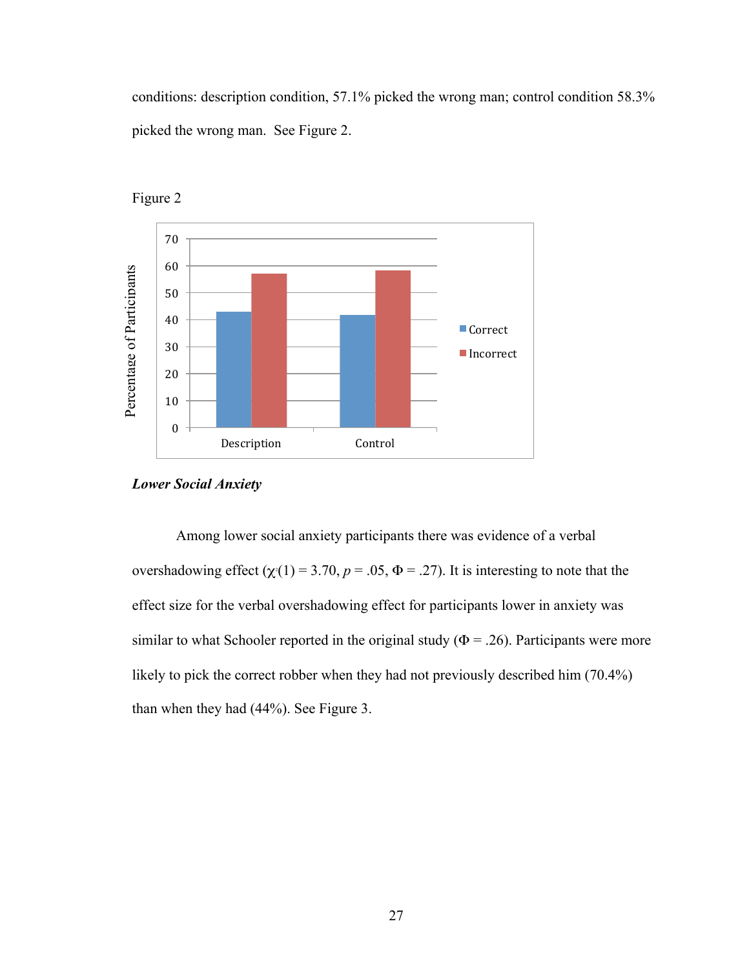conditions: description condition, 57.1% picked the wrong man; control condition 58.3% picked the wrong man. See Figure 2.





Among lower social anxiety participants there was evidence of a verbal overshadowing effect  $(\chi(1) = 3.70, p = .05, \Phi = .27)$ . It is interesting to note that the effect size for the verbal overshadowing effect for participants lower in anxiety was similar to what Schooler reported in the original study ( $\Phi = 0.26$ ). Participants were more likely to pick the correct robber when they had not previously described him (70.4%) than when they had (44%). See Figure 3.

*Lower Social Anxiety*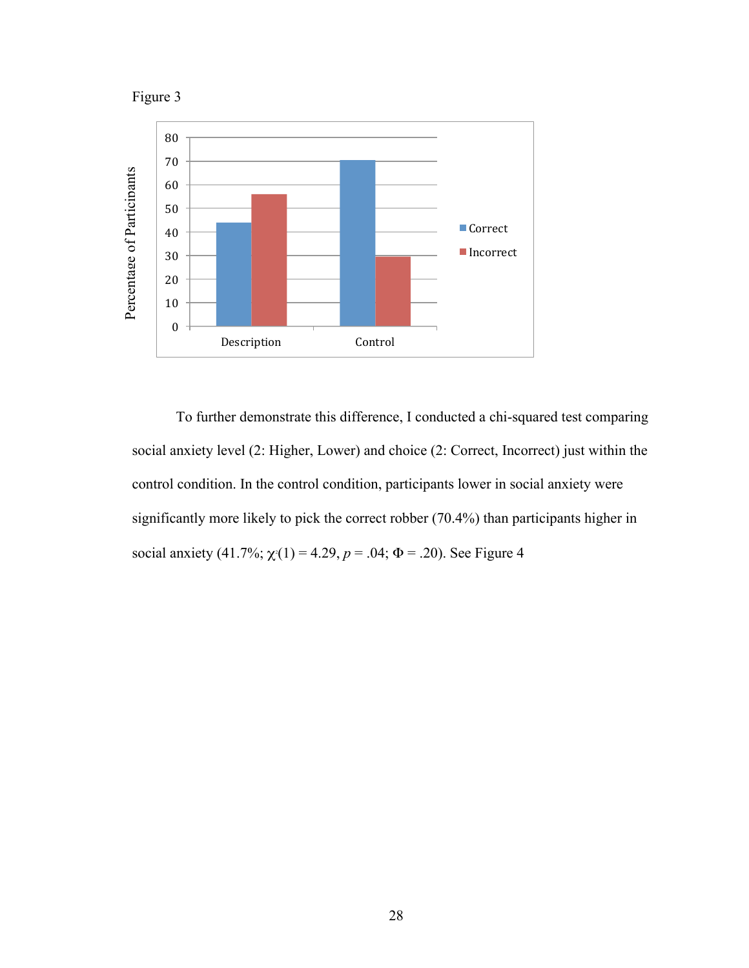



To further demonstrate this difference, I conducted a chi-squared test comparing social anxiety level (2: Higher, Lower) and choice (2: Correct, Incorrect) just within the control condition. In the control condition, participants lower in social anxiety were significantly more likely to pick the correct robber (70.4%) than participants higher in social anxiety  $(41.7\%; \chi(1) = 4.29, p = .04; \Phi = .20)$ . See Figure 4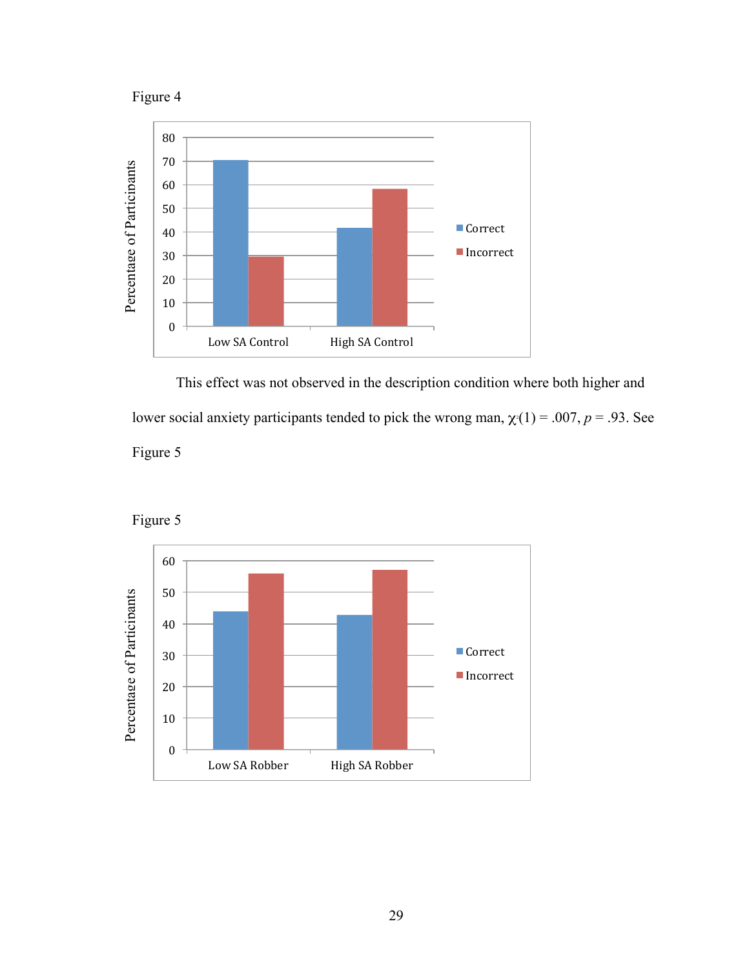



This effect was not observed in the description condition where both higher and lower social anxiety participants tended to pick the wrong man,  $\chi(1) = .007$ ,  $p = .93$ . See Figure 5



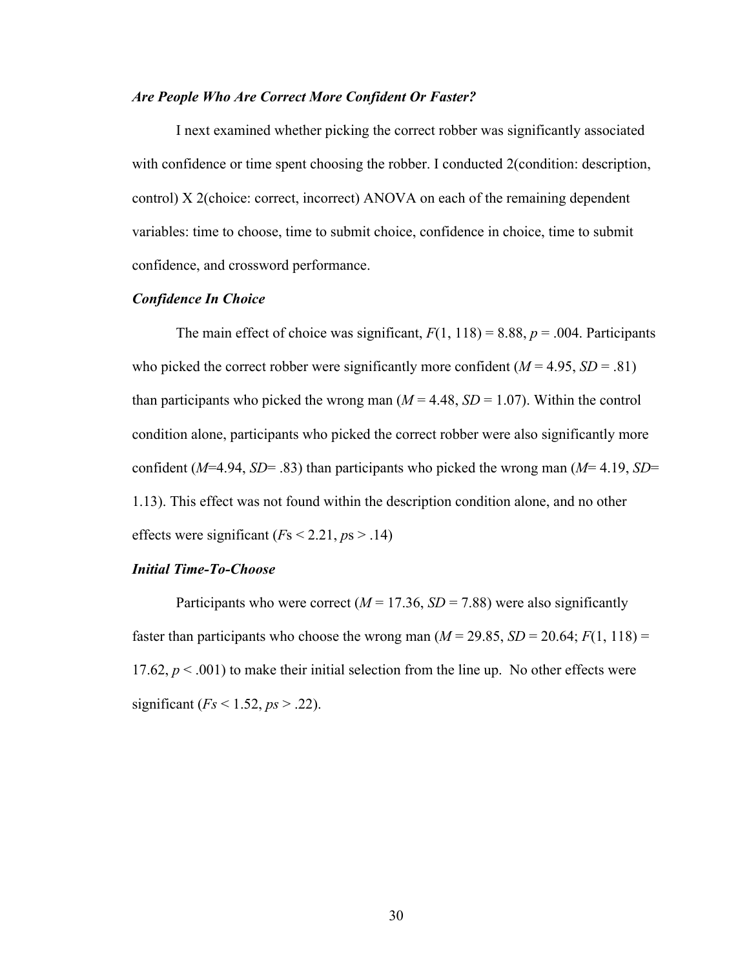#### *Are People Who Are Correct More Confident Or Faster?*

I next examined whether picking the correct robber was significantly associated with confidence or time spent choosing the robber. I conducted 2(condition: description, control) X 2(choice: correct, incorrect) ANOVA on each of the remaining dependent variables: time to choose, time to submit choice, confidence in choice, time to submit confidence, and crossword performance.

# *Confidence In Choice*

The main effect of choice was significant,  $F(1, 118) = 8.88$ ,  $p = .004$ . Participants who picked the correct robber were significantly more confident  $(M = 4.95, SD = .81)$ than participants who picked the wrong man  $(M = 4.48, SD = 1.07)$ . Within the control condition alone, participants who picked the correct robber were also significantly more confident (*M*=4.94, *SD*= .83) than participants who picked the wrong man (*M*= 4.19, *SD*= 1.13). This effect was not found within the description condition alone, and no other effects were significant  $(Fs < 2.21, ps > .14)$ 

#### *Initial Time-To-Choose*

Participants who were correct ( $M = 17.36$ ,  $SD = 7.88$ ) were also significantly faster than participants who choose the wrong man  $(M = 29.85, SD = 20.64; F(1, 118) =$ 17.62,  $p < .001$ ) to make their initial selection from the line up. No other effects were significant (*Fs* < 1.52, *ps* > .22).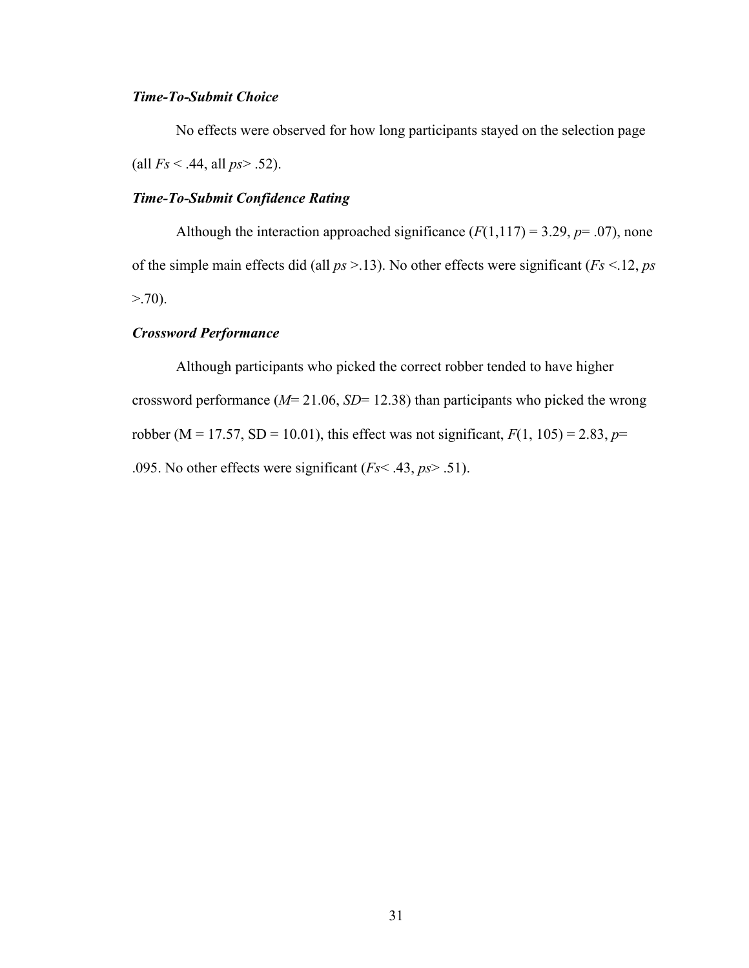# *Time-To-Submit Choice*

No effects were observed for how long participants stayed on the selection page (all *Fs* < .44, all *ps*> .52).

# *Time-To-Submit Confidence Rating*

Although the interaction approached significance  $(F(1,117) = 3.29, p = .07)$ , none of the simple main effects did (all *ps* >.13). No other effects were significant (*Fs* <.12, *ps*  $> 70$ ).

# *Crossword Performance*

Although participants who picked the correct robber tended to have higher crossword performance (*M*= 21.06, *SD*= 12.38) than participants who picked the wrong robber (M = 17.57, SD = 10.01), this effect was not significant,  $F(1, 105) = 2.83$ ,  $p=$ .095. No other effects were significant (*Fs*< .43, *ps*> .51).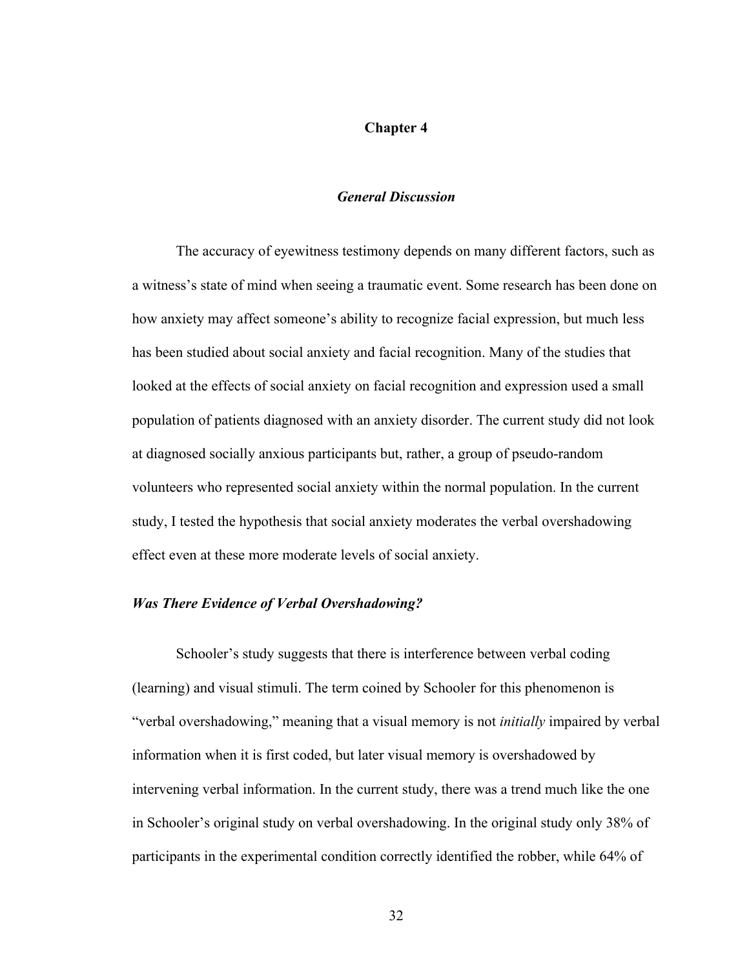#### **Chapter 4**

# *General Discussion*

The accuracy of eyewitness testimony depends on many different factors, such as a witness's state of mind when seeing a traumatic event. Some research has been done on how anxiety may affect someone's ability to recognize facial expression, but much less has been studied about social anxiety and facial recognition. Many of the studies that looked at the effects of social anxiety on facial recognition and expression used a small population of patients diagnosed with an anxiety disorder. The current study did not look at diagnosed socially anxious participants but, rather, a group of pseudo-random volunteers who represented social anxiety within the normal population. In the current study, I tested the hypothesis that social anxiety moderates the verbal overshadowing effect even at these more moderate levels of social anxiety.

#### *Was There Evidence of Verbal Overshadowing?*

Schooler's study suggests that there is interference between verbal coding (learning) and visual stimuli. The term coined by Schooler for this phenomenon is "verbal overshadowing," meaning that a visual memory is not *initially* impaired by verbal information when it is first coded, but later visual memory is overshadowed by intervening verbal information. In the current study, there was a trend much like the one in Schooler's original study on verbal overshadowing. In the original study only 38% of participants in the experimental condition correctly identified the robber, while 64% of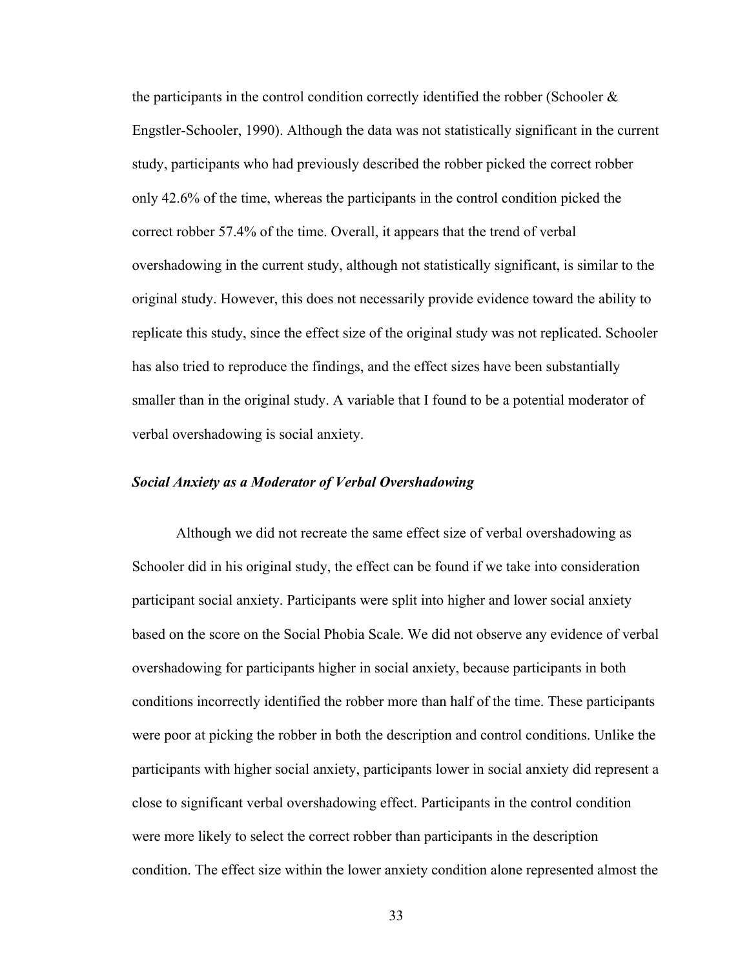the participants in the control condition correctly identified the robber (Schooler & Engstler-Schooler, 1990). Although the data was not statistically significant in the current study, participants who had previously described the robber picked the correct robber only 42.6% of the time, whereas the participants in the control condition picked the correct robber 57.4% of the time. Overall, it appears that the trend of verbal overshadowing in the current study, although not statistically significant, is similar to the original study. However, this does not necessarily provide evidence toward the ability to replicate this study, since the effect size of the original study was not replicated. Schooler has also tried to reproduce the findings, and the effect sizes have been substantially smaller than in the original study. A variable that I found to be a potential moderator of verbal overshadowing is social anxiety.

# *Social Anxiety as a Moderator of Verbal Overshadowing*

Although we did not recreate the same effect size of verbal overshadowing as Schooler did in his original study, the effect can be found if we take into consideration participant social anxiety. Participants were split into higher and lower social anxiety based on the score on the Social Phobia Scale. We did not observe any evidence of verbal overshadowing for participants higher in social anxiety, because participants in both conditions incorrectly identified the robber more than half of the time. These participants were poor at picking the robber in both the description and control conditions. Unlike the participants with higher social anxiety, participants lower in social anxiety did represent a close to significant verbal overshadowing effect. Participants in the control condition were more likely to select the correct robber than participants in the description condition. The effect size within the lower anxiety condition alone represented almost the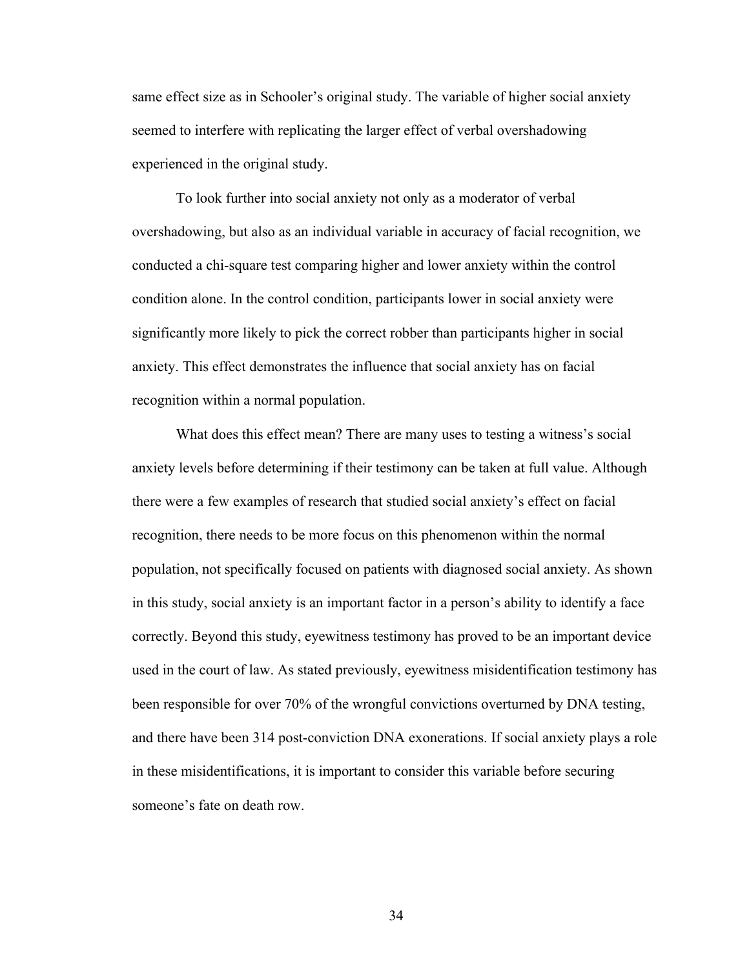same effect size as in Schooler's original study. The variable of higher social anxiety seemed to interfere with replicating the larger effect of verbal overshadowing experienced in the original study.

To look further into social anxiety not only as a moderator of verbal overshadowing, but also as an individual variable in accuracy of facial recognition, we conducted a chi-square test comparing higher and lower anxiety within the control condition alone. In the control condition, participants lower in social anxiety were significantly more likely to pick the correct robber than participants higher in social anxiety. This effect demonstrates the influence that social anxiety has on facial recognition within a normal population.

What does this effect mean? There are many uses to testing a witness's social anxiety levels before determining if their testimony can be taken at full value. Although there were a few examples of research that studied social anxiety's effect on facial recognition, there needs to be more focus on this phenomenon within the normal population, not specifically focused on patients with diagnosed social anxiety. As shown in this study, social anxiety is an important factor in a person's ability to identify a face correctly. Beyond this study, eyewitness testimony has proved to be an important device used in the court of law. As stated previously, eyewitness misidentification testimony has been responsible for over 70% of the wrongful convictions overturned by DNA testing, and there have been 314 post-conviction DNA exonerations. If social anxiety plays a role in these misidentifications, it is important to consider this variable before securing someone's fate on death row.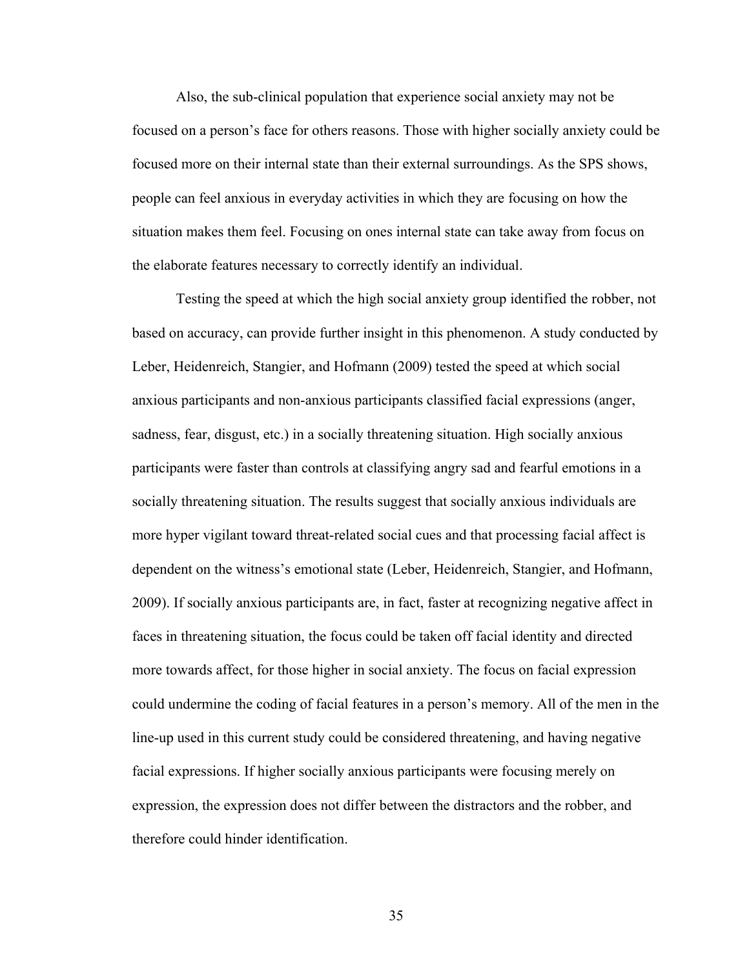Also, the sub-clinical population that experience social anxiety may not be focused on a person's face for others reasons. Those with higher socially anxiety could be focused more on their internal state than their external surroundings. As the SPS shows, people can feel anxious in everyday activities in which they are focusing on how the situation makes them feel. Focusing on ones internal state can take away from focus on the elaborate features necessary to correctly identify an individual.

Testing the speed at which the high social anxiety group identified the robber, not based on accuracy, can provide further insight in this phenomenon. A study conducted by Leber, Heidenreich, Stangier, and Hofmann (2009) tested the speed at which social anxious participants and non-anxious participants classified facial expressions (anger, sadness, fear, disgust, etc.) in a socially threatening situation. High socially anxious participants were faster than controls at classifying angry sad and fearful emotions in a socially threatening situation. The results suggest that socially anxious individuals are more hyper vigilant toward threat-related social cues and that processing facial affect is dependent on the witness's emotional state (Leber, Heidenreich, Stangier, and Hofmann, 2009). If socially anxious participants are, in fact, faster at recognizing negative affect in faces in threatening situation, the focus could be taken off facial identity and directed more towards affect, for those higher in social anxiety. The focus on facial expression could undermine the coding of facial features in a person's memory. All of the men in the line-up used in this current study could be considered threatening, and having negative facial expressions. If higher socially anxious participants were focusing merely on expression, the expression does not differ between the distractors and the robber, and therefore could hinder identification.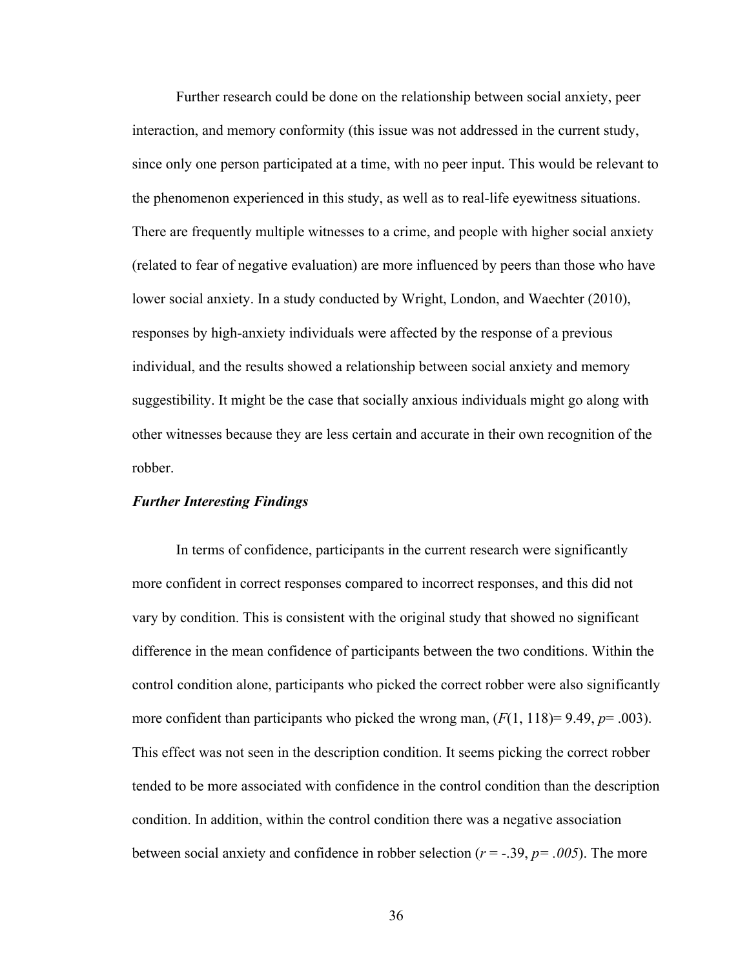Further research could be done on the relationship between social anxiety, peer interaction, and memory conformity (this issue was not addressed in the current study, since only one person participated at a time, with no peer input. This would be relevant to the phenomenon experienced in this study, as well as to real-life eyewitness situations. There are frequently multiple witnesses to a crime, and people with higher social anxiety (related to fear of negative evaluation) are more influenced by peers than those who have lower social anxiety. In a study conducted by Wright, London, and Waechter (2010), responses by high-anxiety individuals were affected by the response of a previous individual, and the results showed a relationship between social anxiety and memory suggestibility. It might be the case that socially anxious individuals might go along with other witnesses because they are less certain and accurate in their own recognition of the robber.

#### *Further Interesting Findings*

In terms of confidence, participants in the current research were significantly more confident in correct responses compared to incorrect responses, and this did not vary by condition. This is consistent with the original study that showed no significant difference in the mean confidence of participants between the two conditions. Within the control condition alone, participants who picked the correct robber were also significantly more confident than participants who picked the wrong man,  $(F(1, 118)=9.49, p=.003)$ . This effect was not seen in the description condition. It seems picking the correct robber tended to be more associated with confidence in the control condition than the description condition. In addition, within the control condition there was a negative association between social anxiety and confidence in robber selection ( $r = -.39$ ,  $p = .005$ ). The more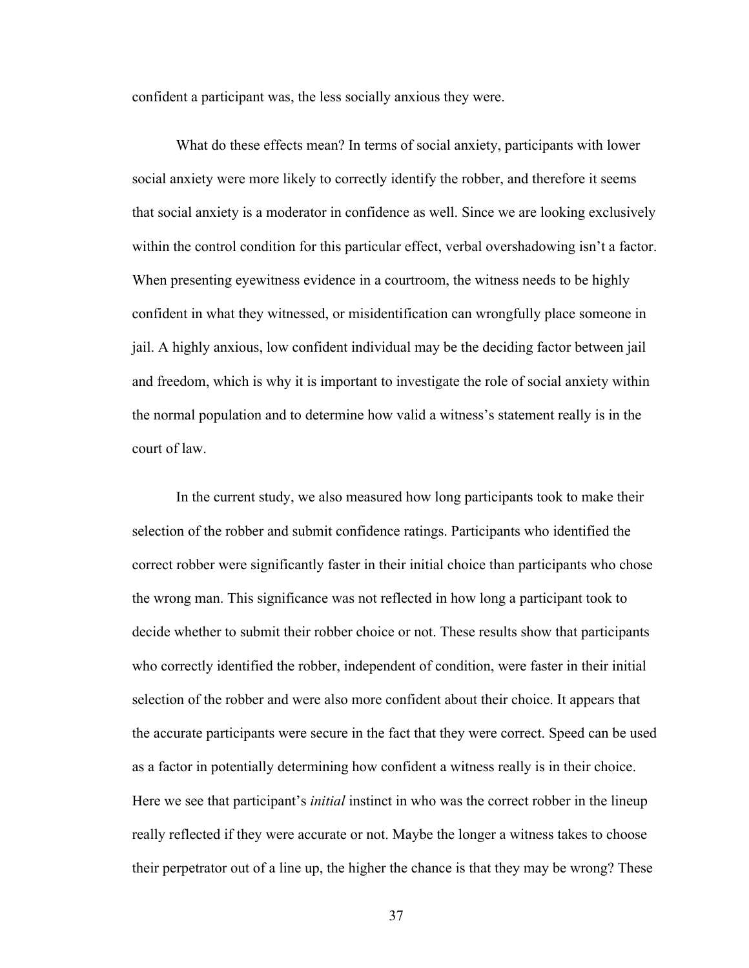confident a participant was, the less socially anxious they were.

What do these effects mean? In terms of social anxiety, participants with lower social anxiety were more likely to correctly identify the robber, and therefore it seems that social anxiety is a moderator in confidence as well. Since we are looking exclusively within the control condition for this particular effect, verbal overshadowing isn't a factor. When presenting eyewitness evidence in a courtroom, the witness needs to be highly confident in what they witnessed, or misidentification can wrongfully place someone in jail. A highly anxious, low confident individual may be the deciding factor between jail and freedom, which is why it is important to investigate the role of social anxiety within the normal population and to determine how valid a witness's statement really is in the court of law.

In the current study, we also measured how long participants took to make their selection of the robber and submit confidence ratings. Participants who identified the correct robber were significantly faster in their initial choice than participants who chose the wrong man. This significance was not reflected in how long a participant took to decide whether to submit their robber choice or not. These results show that participants who correctly identified the robber, independent of condition, were faster in their initial selection of the robber and were also more confident about their choice. It appears that the accurate participants were secure in the fact that they were correct. Speed can be used as a factor in potentially determining how confident a witness really is in their choice. Here we see that participant's *initial* instinct in who was the correct robber in the lineup really reflected if they were accurate or not. Maybe the longer a witness takes to choose their perpetrator out of a line up, the higher the chance is that they may be wrong? These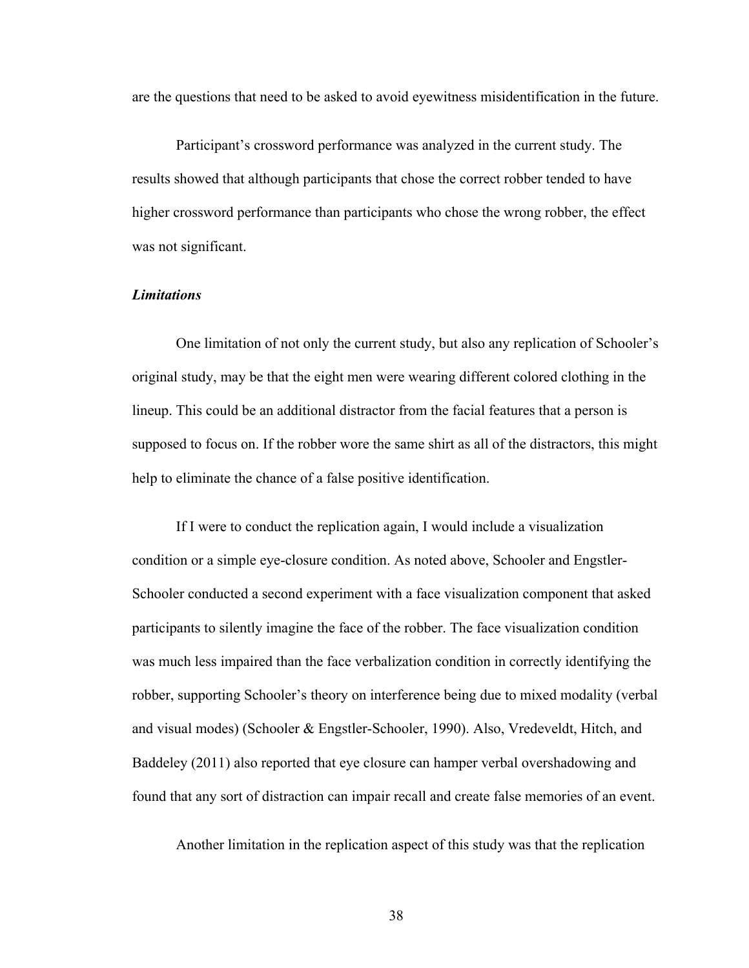are the questions that need to be asked to avoid eyewitness misidentification in the future.

Participant's crossword performance was analyzed in the current study. The results showed that although participants that chose the correct robber tended to have higher crossword performance than participants who chose the wrong robber, the effect was not significant.

# *Limitations*

One limitation of not only the current study, but also any replication of Schooler's original study, may be that the eight men were wearing different colored clothing in the lineup. This could be an additional distractor from the facial features that a person is supposed to focus on. If the robber wore the same shirt as all of the distractors, this might help to eliminate the chance of a false positive identification.

If I were to conduct the replication again, I would include a visualization condition or a simple eye-closure condition. As noted above, Schooler and Engstler-Schooler conducted a second experiment with a face visualization component that asked participants to silently imagine the face of the robber. The face visualization condition was much less impaired than the face verbalization condition in correctly identifying the robber, supporting Schooler's theory on interference being due to mixed modality (verbal and visual modes) (Schooler & Engstler-Schooler, 1990). Also, Vredeveldt, Hitch, and Baddeley (2011) also reported that eye closure can hamper verbal overshadowing and found that any sort of distraction can impair recall and create false memories of an event.

Another limitation in the replication aspect of this study was that the replication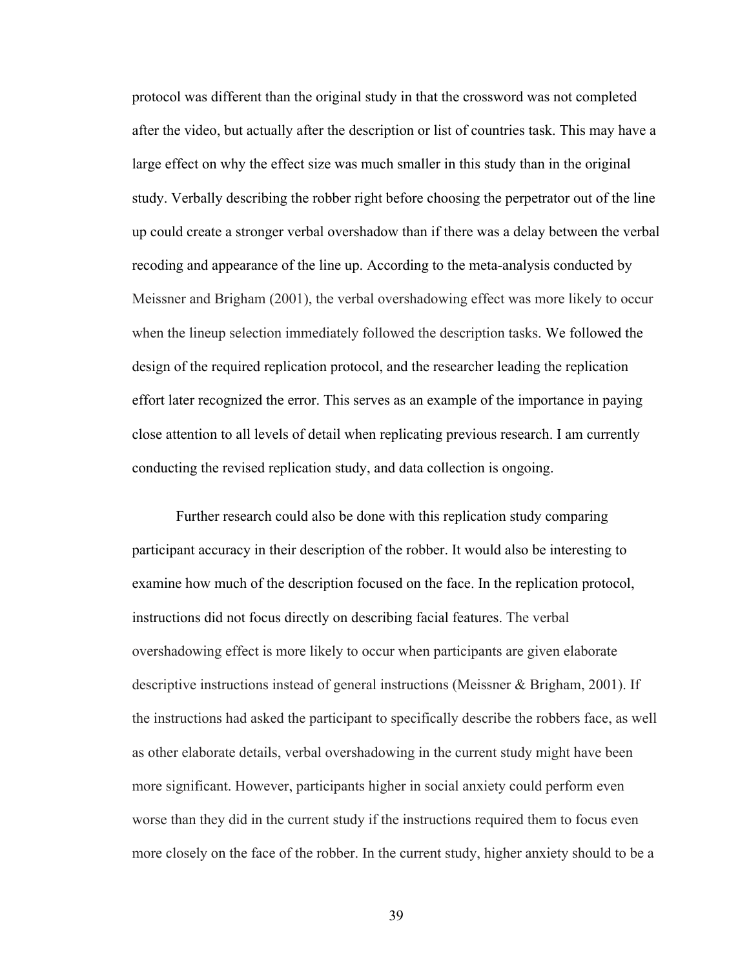protocol was different than the original study in that the crossword was not completed after the video, but actually after the description or list of countries task. This may have a large effect on why the effect size was much smaller in this study than in the original study. Verbally describing the robber right before choosing the perpetrator out of the line up could create a stronger verbal overshadow than if there was a delay between the verbal recoding and appearance of the line up. According to the meta-analysis conducted by Meissner and Brigham (2001), the verbal overshadowing effect was more likely to occur when the lineup selection immediately followed the description tasks. We followed the design of the required replication protocol, and the researcher leading the replication effort later recognized the error. This serves as an example of the importance in paying close attention to all levels of detail when replicating previous research. I am currently conducting the revised replication study, and data collection is ongoing.

Further research could also be done with this replication study comparing participant accuracy in their description of the robber. It would also be interesting to examine how much of the description focused on the face. In the replication protocol, instructions did not focus directly on describing facial features. The verbal overshadowing effect is more likely to occur when participants are given elaborate descriptive instructions instead of general instructions (Meissner & Brigham, 2001). If the instructions had asked the participant to specifically describe the robbers face, as well as other elaborate details, verbal overshadowing in the current study might have been more significant. However, participants higher in social anxiety could perform even worse than they did in the current study if the instructions required them to focus even more closely on the face of the robber. In the current study, higher anxiety should to be a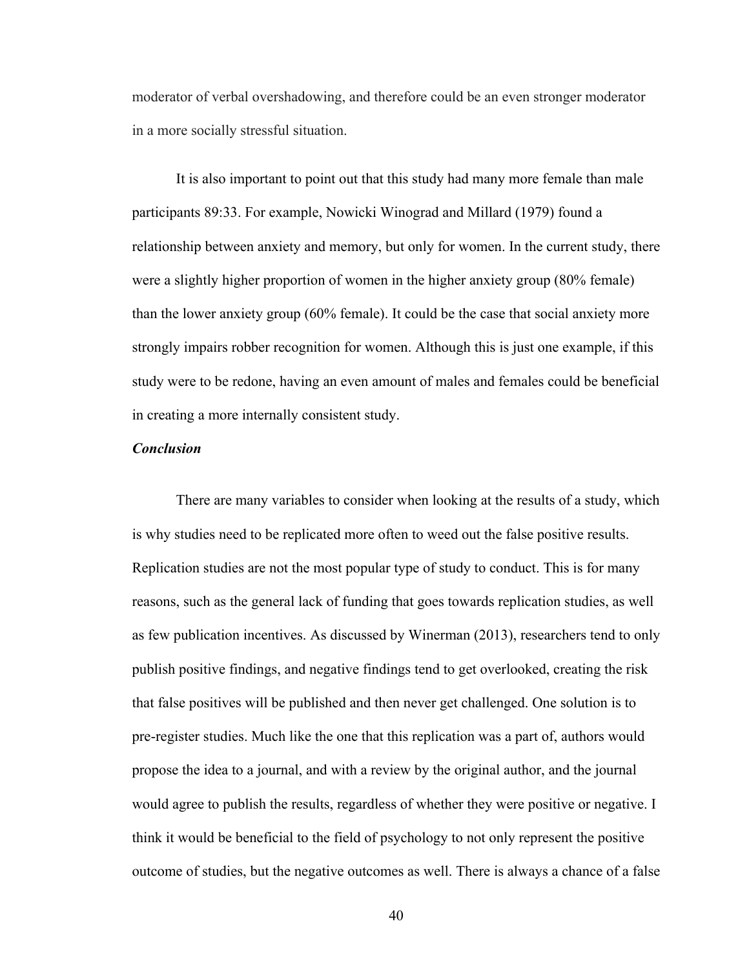moderator of verbal overshadowing, and therefore could be an even stronger moderator in a more socially stressful situation.

It is also important to point out that this study had many more female than male participants 89:33. For example, Nowicki Winograd and Millard (1979) found a relationship between anxiety and memory, but only for women. In the current study, there were a slightly higher proportion of women in the higher anxiety group (80% female) than the lower anxiety group (60% female). It could be the case that social anxiety more strongly impairs robber recognition for women. Although this is just one example, if this study were to be redone, having an even amount of males and females could be beneficial in creating a more internally consistent study.

## *Conclusion*

There are many variables to consider when looking at the results of a study, which is why studies need to be replicated more often to weed out the false positive results. Replication studies are not the most popular type of study to conduct. This is for many reasons, such as the general lack of funding that goes towards replication studies, as well as few publication incentives. As discussed by Winerman (2013), researchers tend to only publish positive findings, and negative findings tend to get overlooked, creating the risk that false positives will be published and then never get challenged. One solution is to pre-register studies. Much like the one that this replication was a part of, authors would propose the idea to a journal, and with a review by the original author, and the journal would agree to publish the results, regardless of whether they were positive or negative. I think it would be beneficial to the field of psychology to not only represent the positive outcome of studies, but the negative outcomes as well. There is always a chance of a false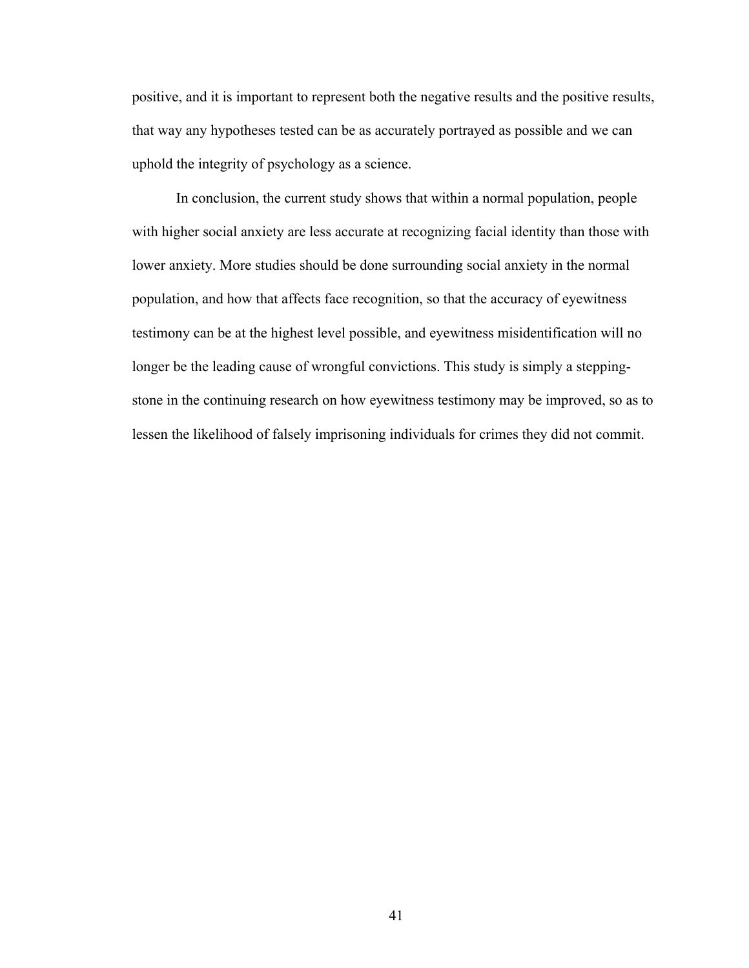positive, and it is important to represent both the negative results and the positive results, that way any hypotheses tested can be as accurately portrayed as possible and we can uphold the integrity of psychology as a science.

In conclusion, the current study shows that within a normal population, people with higher social anxiety are less accurate at recognizing facial identity than those with lower anxiety. More studies should be done surrounding social anxiety in the normal population, and how that affects face recognition, so that the accuracy of eyewitness testimony can be at the highest level possible, and eyewitness misidentification will no longer be the leading cause of wrongful convictions. This study is simply a steppingstone in the continuing research on how eyewitness testimony may be improved, so as to lessen the likelihood of falsely imprisoning individuals for crimes they did not commit.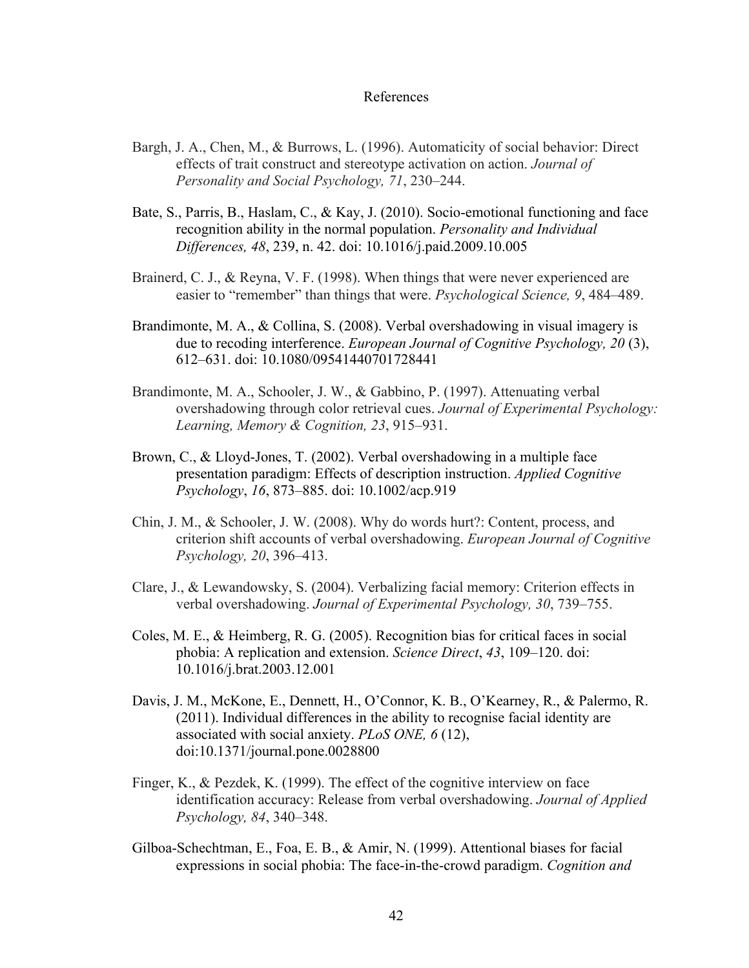#### References

- Bargh, J. A., Chen, M., & Burrows, L. (1996). Automaticity of social behavior: Direct effects of trait construct and stereotype activation on action. *Journal of Personality and Social Psychology, 71*, 230–244.
- Bate, S., Parris, B., Haslam, C., & Kay, J. (2010). Socio-emotional functioning and face recognition ability in the normal population. *Personality and Individual Differences, 48*, 239, n. 42. doi: 10.1016/j.paid.2009.10.005
- Brainerd, C. J., & Reyna, V. F. (1998). When things that were never experienced are easier to "remember" than things that were. *Psychological Science, 9*, 484–489.
- Brandimonte, M. A., & Collina, S. (2008). Verbal overshadowing in visual imagery is due to recoding interference. *European Journal of Cognitive Psychology, 20* (3), 612–631. doi: 10.1080/09541440701728441
- Brandimonte, M. A., Schooler, J. W., & Gabbino, P. (1997). Attenuating verbal overshadowing through color retrieval cues. *Journal of Experimental Psychology: Learning, Memory & Cognition, 23*, 915–931.
- Brown, C., & Lloyd-Jones, T. (2002). Verbal overshadowing in a multiple face presentation paradigm: Effects of description instruction. *Applied Cognitive Psychology*, *16*, 873–885. doi: 10.1002/acp.919
- Chin, J. M., & Schooler, J. W. (2008). Why do words hurt?: Content, process, and criterion shift accounts of verbal overshadowing. *European Journal of Cognitive Psychology, 20*, 396–413.
- Clare, J., & Lewandowsky, S. (2004). Verbalizing facial memory: Criterion effects in verbal overshadowing. *Journal of Experimental Psychology, 30*, 739–755.
- Coles, M. E., & Heimberg, R. G. (2005). Recognition bias for critical faces in social phobia: A replication and extension. *Science Direct*, *43*, 109–120. doi: 10.1016/j.brat.2003.12.001
- Davis, J. M., McKone, E., Dennett, H., O'Connor, K. B., O'Kearney, R., & Palermo, R. (2011). Individual differences in the ability to recognise facial identity are associated with social anxiety. *PLoS ONE, 6* (12), doi:10.1371/journal.pone.0028800
- Finger, K., & Pezdek, K. (1999). The effect of the cognitive interview on face identification accuracy: Release from verbal overshadowing. *Journal of Applied Psychology, 84*, 340–348.
- Gilboa-Schechtman, E., Foa, E. B., & Amir, N. (1999). Attentional biases for facial expressions in social phobia: The face-in-the-crowd paradigm. *Cognition and*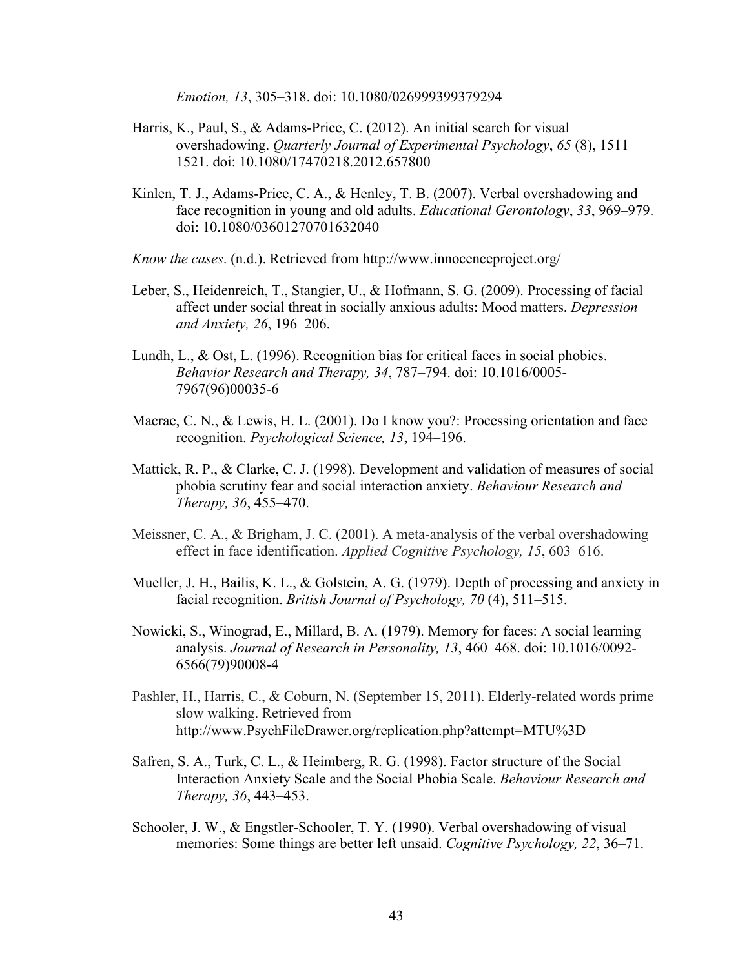*Emotion, 13*, 305–318. doi: 10.1080/026999399379294

- Harris, K., Paul, S., & Adams-Price, C. (2012). An initial search for visual overshadowing. *Quarterly Journal of Experimental Psychology*, *65* (8), 1511– 1521. doi: 10.1080/17470218.2012.657800
- Kinlen, T. J., Adams-Price, C. A., & Henley, T. B. (2007). Verbal overshadowing and face recognition in young and old adults. *Educational Gerontology*, *33*, 969–979. doi: 10.1080/03601270701632040
- *Know the cases*. (n.d.). Retrieved from http://www.innocenceproject.org/
- Leber, S., Heidenreich, T., Stangier, U., & Hofmann, S. G. (2009). Processing of facial affect under social threat in socially anxious adults: Mood matters. *Depression and Anxiety, 26*, 196–206.
- Lundh, L., & Ost, L. (1996). Recognition bias for critical faces in social phobics. *Behavior Research and Therapy, 34*, 787–794. doi: 10.1016/0005- 7967(96)00035-6
- Macrae, C. N., & Lewis, H. L. (2001). Do I know you?: Processing orientation and face recognition. *Psychological Science, 13*, 194–196.
- Mattick, R. P., & Clarke, C. J. (1998). Development and validation of measures of social phobia scrutiny fear and social interaction anxiety. *Behaviour Research and Therapy, 36*, 455–470.
- Meissner, C. A., & Brigham, J. C. (2001). A meta-analysis of the verbal overshadowing effect in face identification. *Applied Cognitive Psychology, 15*, 603–616.
- Mueller, J. H., Bailis, K. L., & Golstein, A. G. (1979). Depth of processing and anxiety in facial recognition. *British Journal of Psychology, 70* (4), 511–515.
- Nowicki, S., Winograd, E., Millard, B. A. (1979). Memory for faces: A social learning analysis. *Journal of Research in Personality, 13*, 460–468. doi: 10.1016/0092- 6566(79)90008-4
- Pashler, H., Harris, C., & Coburn, N. (September 15, 2011). Elderly-related words prime slow walking. Retrieved from http://www.PsychFileDrawer.org/replication.php?attempt=MTU%3D
- Safren, S. A., Turk, C. L., & Heimberg, R. G. (1998). Factor structure of the Social Interaction Anxiety Scale and the Social Phobia Scale. *Behaviour Research and Therapy, 36*, 443–453.
- Schooler, J. W., & Engstler-Schooler, T. Y. (1990). Verbal overshadowing of visual memories: Some things are better left unsaid. *Cognitive Psychology, 22*, 36–71.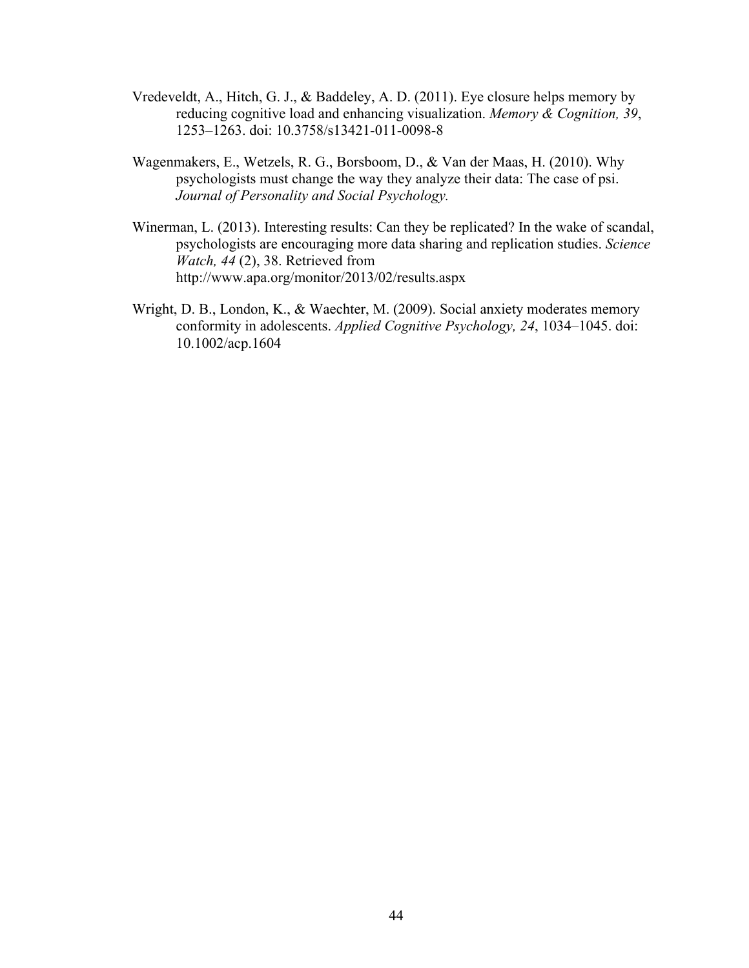- Vredeveldt, A., Hitch, G. J., & Baddeley, A. D. (2011). Eye closure helps memory by reducing cognitive load and enhancing visualization. *Memory & Cognition, 39*, 1253–1263. doi: 10.3758/s13421-011-0098-8
- Wagenmakers, E., Wetzels, R. G., Borsboom, D., & Van der Maas, H. (2010). Why psychologists must change the way they analyze their data: The case of psi. *Journal of Personality and Social Psychology.*
- Winerman, L. (2013). Interesting results: Can they be replicated? In the wake of scandal, psychologists are encouraging more data sharing and replication studies. *Science Watch, 44* (2), 38. Retrieved from http://www.apa.org/monitor/2013/02/results.aspx
- Wright, D. B., London, K., & Waechter, M. (2009). Social anxiety moderates memory conformity in adolescents. *Applied Cognitive Psychology, 24*, 1034–1045. doi: 10.1002/acp.1604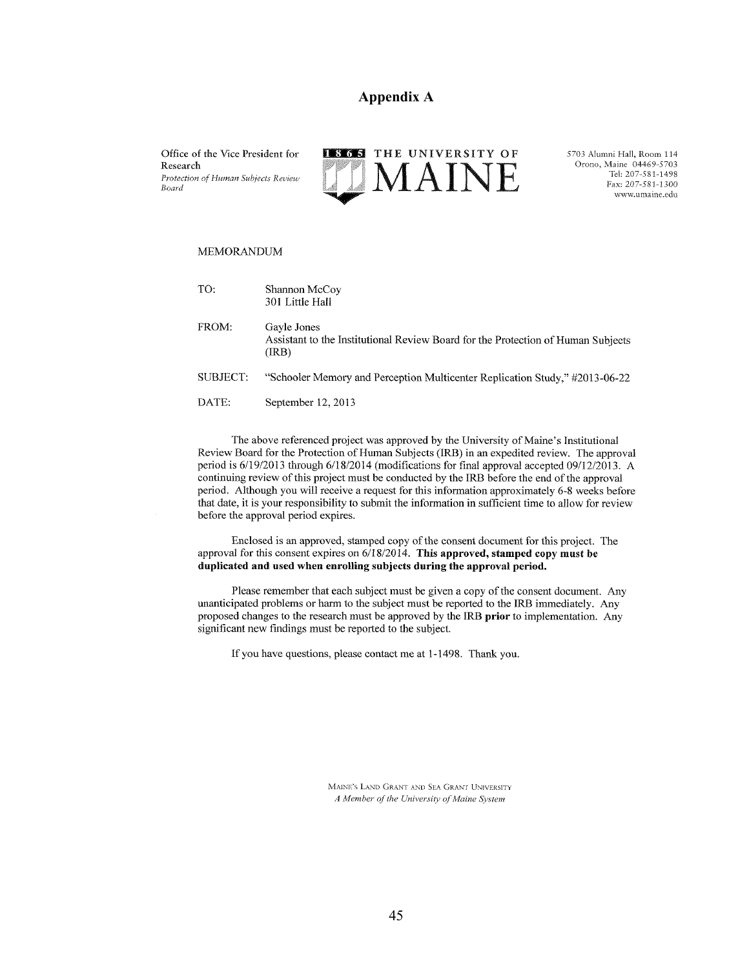#### **Appendix A**

Office of the Vice President for Research Protection of Human Subjects Review Board



5703 Alumni Hall, Room 114 Orono, Maine 04469-5703 Tel: 207-581-1498 Fax: 207-581-1300 www.umaine.edu

#### **MEMORANDUM**

| TO:      | Shannon McCoy<br>301 Little Hall                                                                         |
|----------|----------------------------------------------------------------------------------------------------------|
| FROM:    | Gayle Jones<br>Assistant to the Institutional Review Board for the Protection of Human Subjects<br>(IRB) |
| SUBJECT: | "Schooler Memory and Perception Multicenter Replication Study," #2013-06-22                              |
| DATE:    | September 12, 2013                                                                                       |

The above referenced project was approved by the University of Maine's Institutional Review Board for the Protection of Human Subjects (IRB) in an expedited review. The approval period is 6/19/2013 through 6/18/2014 (modifications for final approval accepted 09/12/2013. A continuing review of this project must be conducted by the IRB before the end of the approval period. Although you will receive a request for this information approximately 6-8 weeks before that date, it is your responsibility to submit the information in sufficient time to allow for review before the approval period expires.

Enclosed is an approved, stamped copy of the consent document for this project. The approval for this consent expires on  $6/18/2014$ . This approved, stamped copy must be duplicated and used when enrolling subjects during the approval period.

Please remember that each subject must be given a copy of the consent document. Any unanticipated problems or harm to the subject must be reported to the IRB immediately. Any proposed changes to the research must be approved by the IRB prior to implementation. Any significant new findings must be reported to the subject.

If you have questions, please contact me at 1-1498. Thank you.

MAINE'S LAND GRANT AND SEA GRANT UNIVERSITY A Member of the University of Maine System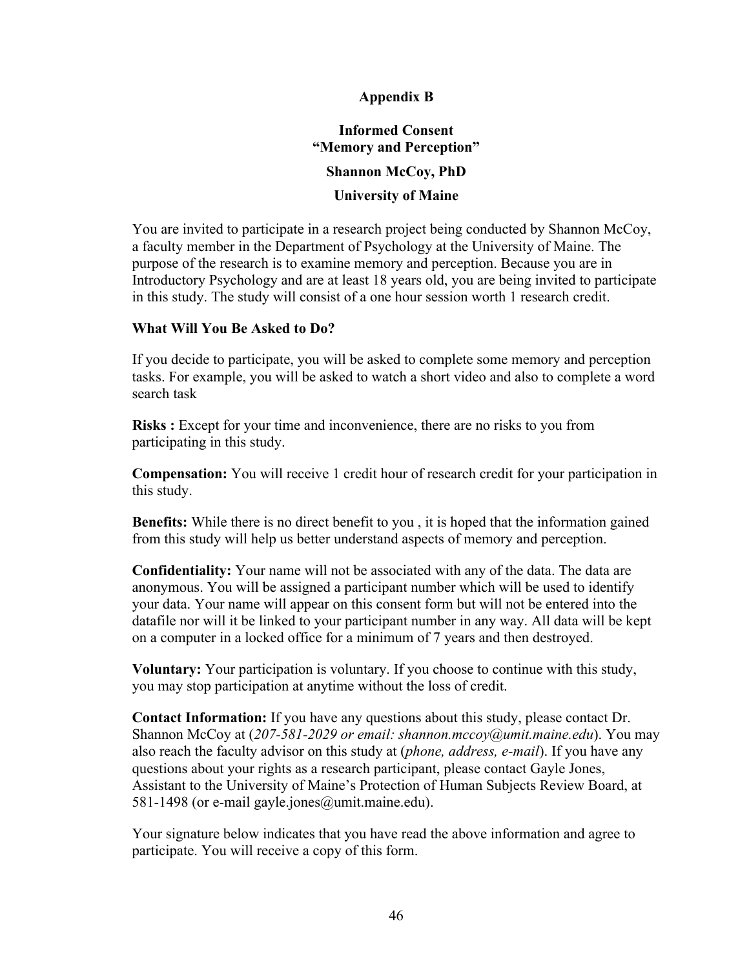# **Appendix B**

# **Informed Consent "Memory and Perception" Shannon McCoy, PhD**

# **University of Maine**

You are invited to participate in a research project being conducted by Shannon McCoy, a faculty member in the Department of Psychology at the University of Maine. The purpose of the research is to examine memory and perception. Because you are in Introductory Psychology and are at least 18 years old, you are being invited to participate in this study. The study will consist of a one hour session worth 1 research credit.

# **What Will You Be Asked to Do?**

If you decide to participate, you will be asked to complete some memory and perception tasks. For example, you will be asked to watch a short video and also to complete a word search task

**Risks :** Except for your time and inconvenience, there are no risks to you from participating in this study.

**Compensation:** You will receive 1 credit hour of research credit for your participation in this study.

**Benefits:** While there is no direct benefit to you , it is hoped that the information gained from this study will help us better understand aspects of memory and perception.

**Confidentiality:** Your name will not be associated with any of the data. The data are anonymous. You will be assigned a participant number which will be used to identify your data. Your name will appear on this consent form but will not be entered into the datafile nor will it be linked to your participant number in any way. All data will be kept on a computer in a locked office for a minimum of 7 years and then destroyed.

**Voluntary:** Your participation is voluntary. If you choose to continue with this study, you may stop participation at anytime without the loss of credit.

**Contact Information:** If you have any questions about this study, please contact Dr. Shannon McCoy at (*207-581-2029 or email: shannon.mccoy@umit.maine.edu*). You may also reach the faculty advisor on this study at (*phone, address, e-mail*). If you have any questions about your rights as a research participant, please contact Gayle Jones, Assistant to the University of Maine's Protection of Human Subjects Review Board, at 581-1498 (or e-mail gayle.jones@umit.maine.edu).

Your signature below indicates that you have read the above information and agree to participate. You will receive a copy of this form.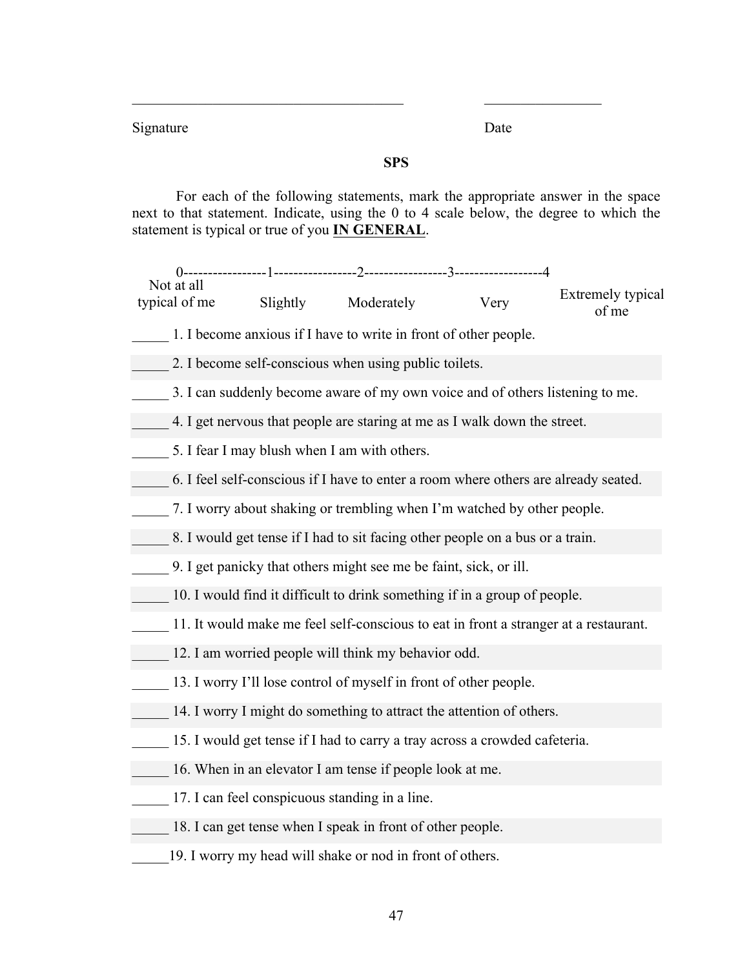Signature Date

# **SPS**

 $\mathcal{L}_\text{max}$  , and the contract of the contract of the contract of the contract of the contract of the contract of

For each of the following statements, mark the appropriate answer in the space next to that statement. Indicate, using the 0 to 4 scale below, the degree to which the statement is typical or true of you **IN GENERAL**.

Extremely typical Slightly Moderately Very Examinity of me Not at all typical of me

- 1. I become anxious if I have to write in front of other people.
- 2. I become self-conscious when using public toilets.
- \_\_\_\_\_ 3. I can suddenly become aware of my own voice and of others listening to me.
- \_\_\_\_\_ 4. I get nervous that people are staring at me as I walk down the street.
- 5. I fear I may blush when I am with others.
- \_\_\_\_\_ 6. I feel self-conscious if I have to enter a room where others are already seated.
- \_\_\_\_\_ 7. I worry about shaking or trembling when I'm watched by other people.
- 8. I would get tense if I had to sit facing other people on a bus or a train.
- \_\_\_\_\_ 9. I get panicky that others might see me be faint, sick, or ill.
- \_\_\_\_\_ 10. I would find it difficult to drink something if in a group of people.
- \_\_\_\_\_ 11. It would make me feel self-conscious to eat in front a stranger at a restaurant.
- 12. I am worried people will think my behavior odd.
- 13. I worry I'll lose control of myself in front of other people.
- 14. I worry I might do something to attract the attention of others.
	- 15. I would get tense if I had to carry a tray across a crowded cafeteria.
- 16. When in an elevator I am tense if people look at me.
- 17. I can feel conspicuous standing in a line.
- 18. I can get tense when I speak in front of other people.
- 19. I worry my head will shake or nod in front of others.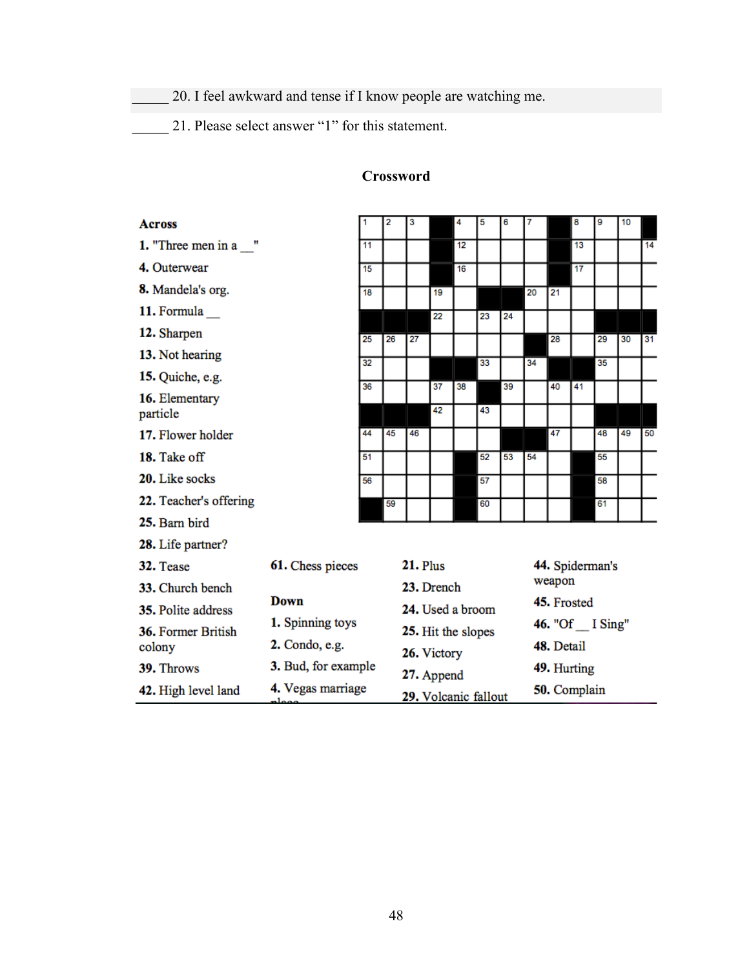\_\_\_\_\_ 20. I feel awkward and tense if I know people are watching me.

\_\_\_\_\_ 21. Please select answer "1" for this statement.

| <b>Across</b>              |                                            | 1  | 2                    | 3                                 |          | 4  | 5  | 6            | 7                              |                 | 8  | 9  | 10 |    |
|----------------------------|--------------------------------------------|----|----------------------|-----------------------------------|----------|----|----|--------------|--------------------------------|-----------------|----|----|----|----|
| 1. "Three men in a "       |                                            | 11 |                      |                                   |          | 12 |    |              |                                |                 | 13 |    |    | 14 |
| 4. Outerwear               |                                            | 15 |                      |                                   |          | 16 |    |              |                                |                 | 17 |    |    |    |
| 8. Mandela's org.          |                                            | 18 |                      |                                   | 19       |    |    |              | 20                             | 21              |    |    |    |    |
| 11. Formula                |                                            |    |                      |                                   | 22       |    | 23 | 24           |                                |                 |    |    |    |    |
| 12. Sharpen                |                                            | 25 | 26                   | 27                                |          |    |    |              |                                | 28              |    | 29 | 30 | 31 |
| 13. Not hearing            |                                            | 32 |                      |                                   |          |    | 33 |              | 34                             |                 |    | 35 |    |    |
| 15. Quiche, e.g.           |                                            |    |                      |                                   |          |    |    |              |                                |                 |    |    |    |    |
| 16. Elementary<br>particle |                                            | 36 |                      |                                   | 37<br>42 | 38 | 43 | 39           |                                | 40              | 41 |    |    |    |
| 17. Flower holder          |                                            | 44 | 45                   | 46                                |          |    |    |              |                                | 47              |    | 48 | 49 | 50 |
| 18. Take off               |                                            | 51 |                      |                                   |          |    | 52 | 53           | 54                             |                 |    | 55 |    |    |
| 20. Like socks             |                                            | 56 |                      |                                   |          |    | 57 |              |                                |                 |    | 58 |    |    |
| 22. Teacher's offering     |                                            |    | 59                   |                                   |          |    | 60 |              |                                |                 |    | 61 |    |    |
| 25. Barn bird              |                                            |    |                      |                                   |          |    |    |              |                                |                 |    |    |    |    |
| 28. Life partner?          |                                            |    |                      |                                   |          |    |    |              |                                |                 |    |    |    |    |
| 32. Tease                  | 61. Chess pieces                           |    |                      | $21.$ Plus                        |          |    |    |              |                                | 44. Spiderman's |    |    |    |    |
| 33. Church bench           | Down<br>1. Spinning toys<br>2. Condo, e.g. |    |                      | 23. Drench                        |          |    |    |              |                                | weapon          |    |    |    |    |
| 35. Polite address         |                                            |    |                      | 24. Used a broom                  |          |    |    |              | 45. Frosted                    |                 |    |    |    |    |
| 36. Former British         |                                            |    |                      | 25. Hit the slopes<br>26. Victory |          |    |    |              | 46. "Of _I Sing"<br>48. Detail |                 |    |    |    |    |
| colony                     |                                            |    |                      |                                   |          |    |    |              |                                |                 |    |    |    |    |
| 39. Throws                 | 3. Bud, for example                        |    |                      | 27. Append                        |          |    |    |              | 49. Hurting                    |                 |    |    |    |    |
| 42. High level land        | 4. Vegas marriage<br>د مومان               |    | 29. Volcanic fallout |                                   |          |    |    | 50. Complain |                                |                 |    |    |    |    |

# **Crossword**